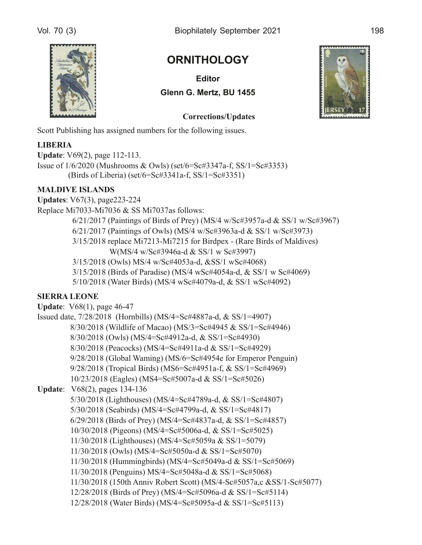

## **ORNITHOLOGY**

**Editor Glenn G. Mertz, BU 1455** 

## **Corrections/Updates**

Scott Publishing has assigned numbers for the following issues.

#### **LIBERIA**

**Update**: V69(2), page 112-113. Issue of  $1/6/2020$  (Mushrooms & Owls) (set/6=Sc#3347a-f, SS/1=Sc#3353) (Birds of Liberia) (set/6=Sc#3341a-f, SS/1=Sc#3351)

#### **MALDIVE ISLANDS**

**Updates:** V67(3), page223-224 Replace Mi7033-Mi7036 & SS Mi7037as follows: 6/21/2017 (Paintings of Birds of Prey) (MS/4 w/Sc#3957a-d & SS/1 w/Sc#3967)  $6/21/2017$  (Paintings of Owls) (MS/4 w/Sc#3963a-d & SS/1 w/Sc#3973) 3/15/2018 replace Mi7213-Mi7215 for Birdpex - (Rare Birds of Maldives) W(MS/4 w/Sc#3946a-d & SS/1 w Sc#3997) 3/15/2018 (Owls) MS/4 w/Sc#4053a-d, &SS/1 wSc#4068) 3/15/2018 (Birds of Paradise) (MS/4 wSc#4054a-d, & SS/1 w Sc#4069) 5/10/2018 (Water Birds) (MS/4 wSc#4079a-d, & SS/1 wSc#4092)

#### **SIERRA LEONE**

| <b>Update:</b> V68(1), page 46-47                                     |
|-----------------------------------------------------------------------|
| Issued date, $7/28/2018$ (Hornbills) (MS/4=Sc#4887a-d, & SS/1=4907)   |
| 8/30/2018 (Wildlife of Macao) (MS/3=Sc#4945 & SS/1=Sc#4946)           |
| 8/30/2018 (Owls) (MS/4=Sc#4912a-d, & SS/1=Sc#4930)                    |
| 8/30/2018 (Peacocks) (MS/4=Sc#4911a-d & SS/1=Sc#4929)                 |
| 9/28/2018 (Global Waming) (MS/6=Sc#4954e for Emperor Penguin)         |
| 9/28/2018 (Tropical Birds) (MS6=Sc#4951a-f, & SS/1=Sc#4969)           |
| 10/23/2018 (Eagles) (MS4=Sc#5007a-d & SS/1=Sc#5026)                   |
| <b>Update:</b> V68(2), pages 134-136                                  |
| 5/30/2018 (Lighthouses) (MS/4=Sc#4789a-d, & SS/1=Sc#4807)             |
| 5/30/2018 (Seabirds) (MS/4=Sc#4799a-d, & SS/1=Sc#4817)                |
| $6/29/2018$ (Birds of Prey) (MS/4=Sc#4837a-d, & SS/1=Sc#4857)         |
| 10/30/2018 (Pigeons) (MS/4=Sc#5006a-d, & SS/1=Sc#5025)                |
| 11/30/2018 (Lighthouses) (MS/4=Sc#5059a & SS/1=5079)                  |
| $11/30/2018$ (Owls) (MS/4=Sc#5050a-d & SS/1=Sc#5070)                  |
| 11/30/2018 (Hummingbirds) (MS/4=Sc#5049a-d & SS/1=Sc#5069)            |
| 11/30/2018 (Penguins) MS/4=Sc#5048a-d & SS/1=Sc#5068)                 |
| 11/30/2018 (150th Anniv Robert Scott) (MS/4-Sc#5057a,c &SS/1-Sc#5077) |
| 12/28/2018 (Birds of Prey) (MS/4=Sc#5096a-d & SS/1=Sc#5114)           |
| 12/28/2018 (Water Birds) (MS/4=Sc#5095a-d & SS/1=Sc#5113)             |
|                                                                       |

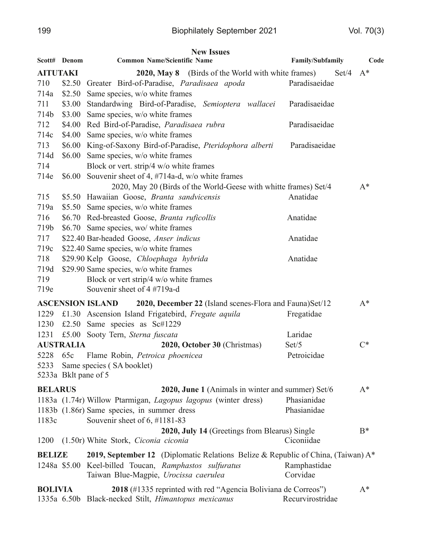|                 |                      | <b>New Issues</b>                                                                |                  |       |
|-----------------|----------------------|----------------------------------------------------------------------------------|------------------|-------|
|                 | Scott# Denom         | <b>Common Name/Scientific Name</b>                                               | Family/Subfamily | Code  |
| <b>AITUTAKI</b> |                      | <b>2020, May 8</b> (Birds of the World with white frames)                        | Set/4            | $A^*$ |
| 710             | \$2.50               | Greater Bird-of-Paradise, Paradisaea apoda                                       | Paradisaeidae    |       |
| 714a            | \$2.50               | Same species, w/o white frames                                                   |                  |       |
| 711             | \$3.00               | Standardwing Bird-of-Paradise, Semioptera wallacei                               | Paradisaeidae    |       |
| 714b            | \$3.00               | Same species, w/o white frames                                                   |                  |       |
| 712             |                      | \$4.00 Red Bird-of-Paradise, Paradisaea rubra                                    | Paradisaeidae    |       |
| 714c            |                      | \$4.00 Same species, w/o white frames                                            |                  |       |
| 713             | \$6.00               | King-of-Saxony Bird-of-Paradise, Pteridophora alberti                            | Paradisaeidae    |       |
| 714d            | \$6.00               | Same species, w/o white frames                                                   |                  |       |
| 714             |                      | Block or vert. strip/4 w/o white frames                                          |                  |       |
| 714e            | \$6.00               | Souvenir sheet of 4, #714a-d, w/o white frames                                   |                  |       |
|                 |                      | 2020, May 20 (Birds of the World-Geese with whitte frames) Set/4                 |                  | $A^*$ |
| 715             |                      | \$5.50 Hawaiian Goose, Branta sandvicensis                                       | Anatidae         |       |
| 719a            |                      | \$5.50 Same species, w/o white frames                                            |                  |       |
| 716             |                      | \$6.70 Red-breasted Goose, Branta ruficollis                                     | Anatidae         |       |
| 719b            |                      | \$6.70 Same species, wo/ white frames                                            |                  |       |
| 717             |                      | \$22.40 Bar-headed Goose, Anser indicus                                          | Anatidae         |       |
| 719c            |                      | \$22.40 Same species, w/o white frames                                           |                  |       |
| 718             |                      | \$29.90 Kelp Goose, Chloephaga hybrida                                           | Anatidae         |       |
| 719d            |                      | \$29.90 Same species, w/o white frames                                           |                  |       |
| 719             |                      | Block or vert strip/4 w/o white frames                                           |                  |       |
| 719e            |                      | Souvenir sheet of 4 #719a-d                                                      |                  |       |
|                 |                      | ASCENSION ISLAND 2020, December 22 (Island scenes-Flora and Fauna)Set/12         |                  | $A^*$ |
|                 |                      | 1229 £1.30 Ascension Island Frigatebird, Fregate aquila                          | Fregatidae       |       |
| 1230            |                      | £2.50 Same species as Sc#1229                                                    |                  |       |
| 1231            |                      | £5.00 Sooty Tern, Sterna fuscata                                                 | Laridae          |       |
|                 | <b>AUSTRALIA</b>     | 2020, October 30 (Christmas)                                                     | Set/5            | $C^*$ |
|                 |                      | 5228 65c Flame Robin, Petroica phoenicea                                         | Petroicidae      |       |
| 5233            |                      | Same species (SA booklet)                                                        |                  |       |
|                 | 5233a Bklt pane of 5 |                                                                                  |                  |       |
| <b>BELARUS</b>  |                      | 2020, June 1 (Animals in winter and summer) Set/6                                |                  | $A^*$ |
|                 |                      | 1183a (1.74r) Willow Ptarmigan, Lagopus lagopus (winter dress)                   | Phasianidae      |       |
|                 |                      | 1183b (1.86r) Same species, in summer dress                                      | Phasianidae      |       |
| 1183c           |                      | Souvenir sheet of 6, #1181-83                                                    |                  |       |
|                 |                      | 2020, July 14 (Greetings from Blearus) Single                                    |                  | $B^*$ |
| 1200            |                      | (1.50r) White Stork, Ciconia ciconia                                             | Ciconiidae       |       |
| <b>BELIZE</b>   |                      | 2019, September 12 (Diplomatic Relations Belize & Republic of China, (Taiwan) A* |                  |       |
|                 |                      | 1248a \$5.00 Keel-billed Toucan, Ramphastos sulfuratus                           | Ramphastidae     |       |
|                 |                      | Taiwan Blue-Magpie, Urocissa caerulea                                            | Corvidae         |       |
|                 |                      |                                                                                  |                  |       |
| <b>BOLIVIA</b>  |                      | 2018 (#1335 reprinted with red "Agencia Boliviana de Correos")                   |                  | $A^*$ |
|                 |                      | 1335a 6.50b Black-necked Stilt, Himantopus mexicanus                             | Recurvirostridae |       |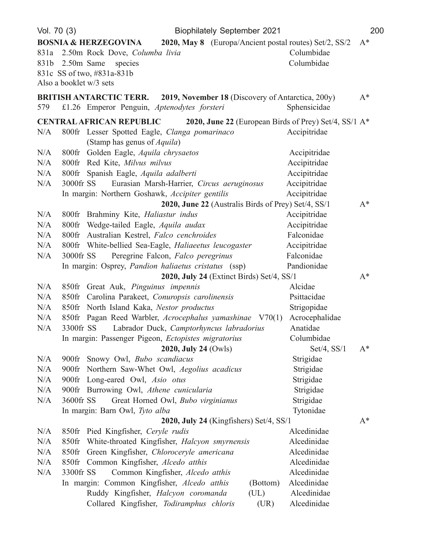| Vol. 70 (3) |                                                                                                                                                               | <b>Biophilately September 2021</b>                                                 | 200   |
|-------------|---------------------------------------------------------------------------------------------------------------------------------------------------------------|------------------------------------------------------------------------------------|-------|
|             | <b>BOSNIA &amp; HERZEGOVINA</b><br>831a 2.50m Rock Dove, Columba livia<br>831b 2.50m Same<br>species<br>831c SS of two, #831a-831b<br>Also a booklet w/3 sets | 2020, May 8 (Europa/Ancient postal routes) Set/2, SS/2<br>Columbidae<br>Columbidae | $A^*$ |
| 579         | <b>BRITISH ANTARCTIC TERR.</b><br>£1.26 Emperor Penguin, Aptenodytes forsteri                                                                                 | <b>2019, November 18</b> (Discovery of Antarctica, 200y)<br>Sphensicidae           | $A^*$ |
|             | <b>CENTRAL AFRICAN REPUBLIC</b>                                                                                                                               | 2020, June 22 (European Birds of Prey) Set/4, SS/1 A*                              |       |
| N/A         | 800fr Lesser Spotted Eagle, Clanga pomarinaco<br>(Stamp has genus of <i>Aquila</i> )                                                                          | Accipitridae                                                                       |       |
| N/A         | Golden Eagle, Aquila chrysaetos<br>$800$ fr                                                                                                                   | Accipitridae                                                                       |       |
| N/A         | Red Kite, Milvus milvus<br>$800$ fr                                                                                                                           | Accipitridae                                                                       |       |
| N/A         | 800fr Spanish Eagle, Aquila adalberti                                                                                                                         | Accipitridae                                                                       |       |
| N/A         | 3000fr SS<br>Eurasian Marsh-Harrier, Circus aeruginosus                                                                                                       | Accipitridae                                                                       |       |
|             | In margin: Northern Goshawk, Accipiter gentilis                                                                                                               | Accipitridae                                                                       |       |
|             |                                                                                                                                                               | 2020, June 22 (Australis Birds of Prey) Set/4, SS/1                                | $A^*$ |
| N/A         | Brahminy Kite, Haliastur indus<br>$800$ fr                                                                                                                    | Accipitridae                                                                       |       |
| N/A         | Wedge-tailed Eagle, Aquila audax<br>$800$ fr                                                                                                                  | Accipitridae                                                                       |       |
| N/A         | Australian Kestrel, Falco cenchroides<br>$800$ fr                                                                                                             | Falconidae                                                                         |       |
| N/A         | 800fr White-bellied Sea-Eagle, Haliaeetus leucogaster                                                                                                         | Accipitridae                                                                       |       |
| N/A         | Peregrine Falcon, Falco peregrinus<br>3000fr SS                                                                                                               | Falconidae                                                                         |       |
|             | In margin: Osprey, Pandion haliaetus cristatus (ssp)                                                                                                          | Pandionidae                                                                        |       |
|             |                                                                                                                                                               | 2020, July 24 (Extinct Birds) Set/4, SS/1                                          | $A^*$ |
| N/A         | 850fr Great Auk, Pinguinus impennis                                                                                                                           | Alcidae                                                                            |       |
| N/A         | Carolina Parakeet, Conuropsis carolinensis<br>$850$ fr                                                                                                        | Psittacidae                                                                        |       |
| N/A         | North Island Kaka, Nestor productus<br>$850$ fr                                                                                                               | Strigopidae                                                                        |       |
| N/A<br>N/A  | Pagan Reed Warbler, Acrocephalus yamashinae V70(1)<br>$850$ fr<br>3300fr SS<br>Labrador Duck, Camptorhyncus labradorius                                       | Acrocephalidae<br>Anatidae                                                         |       |
|             | In margin: Passenger Pigeon, <i>Ectopistes migratorius</i>                                                                                                    | Columbidae                                                                         |       |
|             | 2020, July 24 (Owls)                                                                                                                                          | $Set/4$ , $SS/1$                                                                   | $A^*$ |
| N/A         | $900$ fr<br>Snowy Owl, <i>Bubo scandiacus</i>                                                                                                                 | Strigidae                                                                          |       |
| N/A         | Northern Saw-Whet Owl, Aegolius acadicus<br>$900$ fr                                                                                                          | Strigidae                                                                          |       |
| N/A         | Long-eared Owl, Asio otus<br>$900$ fr                                                                                                                         | Strigidae                                                                          |       |
| N/A         | 900fr Burrowing Owl, Athene cunicularia                                                                                                                       | Strigidae                                                                          |       |
| N/A         | 3600fr SS<br>Great Horned Owl, Bubo virginianus                                                                                                               | Strigidae                                                                          |       |
|             | In margin: Barn Owl, Tyto alba                                                                                                                                | Tytonidae                                                                          |       |
|             |                                                                                                                                                               | 2020, July 24 (Kingfishers) Set/4, SS/1                                            | $A^*$ |
| N/A         | 850fr Pied Kingfisher, Ceryle rudis                                                                                                                           | Alcedinidae                                                                        |       |
| N/A         | White-throated Kingfisher, Halcyon smyrnensis<br>$850$ fr                                                                                                     | Alcedinidae                                                                        |       |
| N/A         | Green Kingfisher, Chloroceryle americana<br>$850$ fr                                                                                                          | Alcedinidae                                                                        |       |
| N/A         | Common Kingfisher, Alcedo atthis<br>$850$ fr                                                                                                                  | Alcedinidae                                                                        |       |
| N/A         | 3300fr SS<br>Common Kingfisher, Alcedo atthis                                                                                                                 | Alcedinidae                                                                        |       |
|             | In margin: Common Kingfisher, Alcedo atthis                                                                                                                   | Alcedinidae<br>(Bottom)                                                            |       |
|             | Ruddy Kingfisher, Halcyon coromanda                                                                                                                           | Alcedinidae<br>(UL)                                                                |       |
|             | Collared Kingfisher, Todiramphus chloris                                                                                                                      | Alcedinidae<br>(UR)                                                                |       |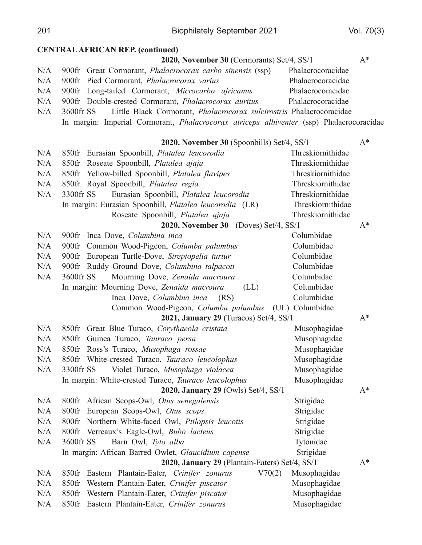201 Biophilately September 2021 Vol. 70(3)

#### **CENTRAL AFRICAN REP.** (continued)

|     | 2020, November 30 (Cormorants) Set/4, SS/1                                                      |                   | $A^*$ |
|-----|-------------------------------------------------------------------------------------------------|-------------------|-------|
| N/A | 900fr Great Cormorant, <i>Phalacrocorax carbo sinensis</i> (ssp)                                | Phalacrocoracidae |       |
| N/A | 900fr Pied Cormorant, Phalacrocorax varius                                                      | Phalacrocoracidae |       |
| N/A | 900fr Long-tailed Cormorant, Microcarbo africanus                                               | Phalacrocoracidae |       |
| N/A | 900fr Double-crested Cormorant, Phalacrocorax auritus                                           | Phalacrocoracidae |       |
| N/A | 3600fr SS Little Black Cormorant, <i>Phalacrocorax sulcirostris</i> Phalacrocoracidae           |                   |       |
|     | In margin: Imperial Cormorant, <i>Phalacrocorax atriceps albiventer</i> (ssp) Phalacrocoracidae |                   |       |
|     |                                                                                                 |                   |       |

|     | 2020, November 30 (Spoonbills) Set/4, SS/1                  |                   | $A^*$ |
|-----|-------------------------------------------------------------|-------------------|-------|
| N/A | 850fr Eurasian Spoonbill, Platalea leucorodia               | Threskiornithidae |       |
| N/A | 850fr Roseate Spoonbill, Platalea ajaja                     | Threskiornithidae |       |
| N/A | 850fr Yellow-billed Spoonbill, Platalea flavipes            | Threskiornithidae |       |
| N/A | 850fr Royal Spoonbill, Platalea regia                       | Threskiornithidae |       |
| N/A | 3300fr SS<br>Eurasian Spoonbill, Platalea leucorodia        | Threskiornithidae |       |
|     | In margin: Eurasian Spoonbill, Platalea leucorodia (LR)     | Threskiornithidae |       |
|     | Roseate Spoonbill, Platalea ajaja                           | Threskiornithidae |       |
|     | 2020, November 30 (Doves) Set/4, SS/1                       |                   | $A^*$ |
| N/A | 900fr Inca Dove, Columbina inca                             | Columbidae        |       |
| N/A | 900fr Common Wood-Pigeon, Columba palumbus                  | Columbidae        |       |
| N/A | 900fr European Turtle-Dove, Streptopelia turtur             | Columbidae        |       |
| N/A | 900fr Ruddy Ground Dove, Columbina talpacoti                | Columbidae        |       |
| N/A | 3600fr SS<br>Mourning Dove, Zenaida macroura                | Columbidae        |       |
|     | In margin: Mourning Dove, Zenaida macroura<br>(LL)          | Columbidae        |       |
|     | Inca Dove, Columbina inca<br>(RS)                           | Columbidae        |       |
|     | Common Wood-Pigeon, Columba palumbus (UL) Columbidae        |                   |       |
|     | 2021, January 29 (Turacos) Set/4, SS/1                      |                   | $A^*$ |
| N/A | 850fr Great Blue Turaco, Corythaeola cristata               | Musophagidae      |       |
| N/A | 850fr Guinea Turaco, Tauraco persa                          | Musophagidae      |       |
| N/A | 850fr Ross's Turaco, Musophaga rossae                       | Musophagidae      |       |
| N/A | 850fr White-crested Turaco, Tauraco leucolophus             | Musophagidae      |       |
| N/A | 3300fr SS<br>Violet Turaco, Musophaga violacea              | Musophagidae      |       |
|     | In margin: White-crested Turaco, Tauraco leucolophus        | Musophagidae      |       |
|     | 2020, January 29 (Owls) Set/4, SS/1                         |                   | $A^*$ |
| N/A | 800fr African Scops-Owl, Otus senegalensis                  | Strigidae         |       |
| N/A | European Scops-Owl, Otus scops<br>$800$ fr                  | Strigidae         |       |
| N/A | Northern White-faced Owl, Ptilopsis leucotis<br>$800$ fr    | Strigidae         |       |
| N/A | Verreaux's Eagle-Owl, Bubo lacteus<br>$800$ fr              | Strigidae         |       |
| N/A | 3600fr SS<br>Barn Owl, Tyto alba                            | Tytonidae         |       |
|     | In margin: African Barred Owlet, Glaucidium capense         | Strigidae         |       |
|     | 2020, January 29 (Plantain-Eaters) Set/4, SS/1              |                   | $A^*$ |
| N/A | Eastern Plantain-Eater, Crinifer zonurus<br>V70(2)<br>850fr | Musophagidae      |       |
| N/A | Western Plantain-Eater, Crinifer piscator<br>850fr          | Musophagidae      |       |
| N/A | Western Plantain-Eater, Crinifer piscator<br>850fr          | Musophagidae      |       |
| N/A | Eastern Plantain-Eater, Crinifer zonurus<br>$850$ fr        | Musophagidae      |       |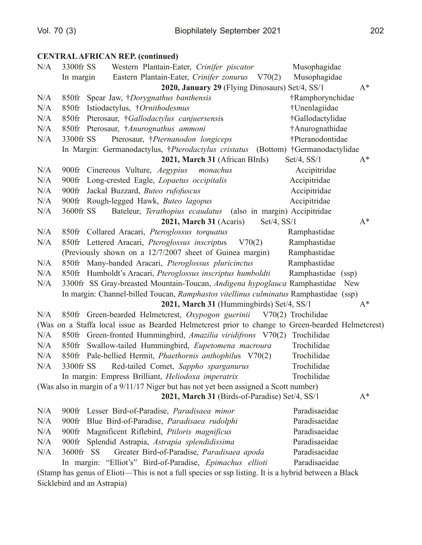#### **CENTRAL AFRICAN REP. (continued)**

| N/A | 3300fr SS | Western Plantain-Eater, Crinifer piscator                                                         | Musophagidae     |       |
|-----|-----------|---------------------------------------------------------------------------------------------------|------------------|-------|
|     | In margin | Eastern Plantain-Eater, Crinifer zonurus V70(2)                                                   | Musophagidae     |       |
|     |           | 2020, January 29 (Flying Dinosaurs) Set/4, SS/1                                                   |                  | $A^*$ |
| N/A |           | 850fr Spear Jaw, †Dorygnathus banthensis                                                          | †Ramphorynchidae |       |
| N/A | $850$ fr  | Istiodactylus, †Ornithodesmus                                                                     | †Unenlagiidae    |       |
| N/A |           | 850fr Pterosaur, †Gallodactylus canjuersensis                                                     | †Gallodactylidae |       |
| N/A |           | 850fr Pterosaur, †Anurognathus ammoni                                                             | †Anurognathidae  |       |
| N/A | 3300fr SS | Pterosaur, †Pternanodon longiceps                                                                 | †Pteranodontidae |       |
|     |           | In Margin: Germanodactylus, †Pterodactylus cristatus (Bottom) †Germanodactylidae                  |                  |       |
|     |           | 2021, March 31 (African BIrds)                                                                    | $Set/4$ , $SS/1$ | $A^*$ |
| N/A |           | 900fr Cinereous Vulture, Aegypius<br>monachus                                                     | Accipitridae     |       |
| N/A | $900$ fr  | Long-crested Eagle, Lopaetus occipitalis                                                          | Accipitridae     |       |
| N/A | $900$ fr  | Jackal Buzzard, Buteo rufofuscus                                                                  | Accipitridae     |       |
| N/A |           | 900fr Rough-legged Hawk, Buteo lagopus                                                            | Accipitridae     |       |
| N/A | 3600fr SS | Bateleur, Terathopius ecaudatus (also in margin) Accipitridae                                     |                  |       |
|     |           | $2021$ , March 31 (Acaris)<br>Set/4, SS/1                                                         |                  | $A^*$ |
| N/A |           | 850fr Collared Aracari, Pteroglossus torquatus                                                    | Ramphastidae     |       |
| N/A |           | 850fr Lettered Aracari, Pteroglossus inscriptus<br>V70(2)                                         | Ramphastidae     |       |
|     |           | (Previously shown on a 12/7/2007 sheet of Guinea margin)                                          | Ramphastidae     |       |
| N/A |           | 850fr Many-banded Aracari, Pteroglossus pluricinctus                                              | Ramphastidae     |       |
| N/A |           | 850fr Humboldt's Aracari, Pteroglossus inscriptus humboldti                                       | Ramphastidae     | (ssp) |
| N/A |           | 3300fr SS Gray-breasted Mountain-Toucan, Andigena hypoglauca Ramphastidae                         |                  | New   |
|     |           | In margin: Channel-billed Toucan, Ramphastos vitellinus culminatus Ramphastidae (ssp)             |                  |       |
|     |           | 2021, March 31 (Hummingbirds) Set/4, SS/1                                                         |                  | $A^*$ |
| N/A |           | 850fr Green-bearded Helmetcrest, Oxypogon guerinii V70(2) Trochilidae                             |                  |       |
|     |           | (Was on a Staffa local issue as Bearded Helmetcrest prior to change to Green-bearded Helmetcrest) |                  |       |
| N/A |           | 850fr Green-fronted Hummingbird, Amazilia viridifrons V70(2) Trochilidae                          |                  |       |
| N/A |           | 850fr Swallow-tailed Hummingbird, Eupetomena macroura                                             | Trochilidae      |       |
| N/A |           | 850fr Pale-bellied Hermit, Phaethornis anthophilus V70(2)                                         | Trochilidae      |       |
| N/A | 3300fr SS | Red-tailed Comet, Sappho sparganurus                                                              | Trochilidae      |       |
|     |           | In margin: Empress Brilliant, <i>Heliodoxa imperatrix</i>                                         | Trochilidae      |       |
|     |           | (Was also in margin of a 9/11/17 Niger but has not yet been assigned a Scott number)              |                  |       |
|     |           | 2021, March 31 (Birds-of-Paradise) Set/4, SS/1                                                    |                  | $A^*$ |
| N/A | $900$ fr  | Lesser Bird-of-Paradise, Paradisaea minor                                                         | Paradisaeidae    |       |
| N/A | $900$ fr  | Blue Bird-of-Paradise, Paradisaea rudolphi                                                        | Paradisaeidae    |       |
| N/A | $900$ fr  | Magnificent Riflebird, Ptiloris magnificus                                                        | Paradisaeidae    |       |
| N/A | $900$ fr  | Splendid Astrapia, Astrapia splendidissima                                                        | Paradisaeidae    |       |
| N/A | 3600fr SS | Greater Bird-of-Paradise, Paradisaea apoda                                                        | Paradisaeidae    |       |
|     |           | In margin: "Elliot's" Bird-of-Paradise, Epimachus ellioti                                         | Paradisaeidae    |       |
|     |           |                                                                                                   |                  |       |

(Stamp has genus of Elioti—This is not a full species or ssp listing. It is a hybrid between a Black Sicklebird and an Astrapia)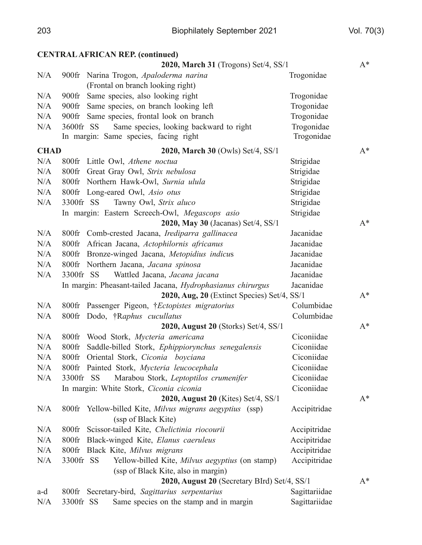|             | <b>CENTRAL AFRICAN REP. (continued)</b>                        |               |       |
|-------------|----------------------------------------------------------------|---------------|-------|
|             | 2020, March 31 (Trogons) Set/4, SS/1                           |               | $A^*$ |
| N/A         | 900fr Narina Trogon, Apaloderma narina                         | Trogonidae    |       |
|             | (Frontal on branch looking right)                              |               |       |
| N/A         | Same species, also looking right<br>$900$ fr                   | Trogonidae    |       |
| N/A         | Same species, on branch looking left<br>$900$ fr               | Trogonidae    |       |
| N/A         | Same species, frontal look on branch<br>$900$ fr               | Trogonidae    |       |
| N/A         | Same species, looking backward to right<br>3600fr SS           | Trogonidae    |       |
|             | In margin: Same species, facing right                          | Trogonidae    |       |
| <b>CHAD</b> | 2020, March 30 (Owls) Set/4, SS/1                              |               | $A^*$ |
| N/A         | 800fr Little Owl, Athene noctual                               | Strigidae     |       |
| N/A         | 800fr Great Gray Owl, Strix nebulosa                           | Strigidae     |       |
| N/A         | 800fr Northern Hawk-Owl, Surnia ulula                          | Strigidae     |       |
| N/A         | 800fr Long-eared Owl, Asio otus                                | Strigidae     |       |
| N/A         | 3300fr SS<br>Tawny Owl, Strix aluco                            | Strigidae     |       |
|             | In margin: Eastern Screech-Owl, Megascops asio                 | Strigidae     |       |
|             | 2020, May 30 (Jacanas) Set/4, SS/1                             |               | $A^*$ |
| N/A         | 800fr Comb-crested Jacana, Irediparra gallinacea               | Jacanidae     |       |
| N/A         | 800fr African Jacana, Actophilornis africanus                  | Jacanidae     |       |
| N/A         | 800fr Bronze-winged Jacana, Metopidius indicus                 | Jacanidae     |       |
| N/A         | 800fr Northern Jacana, Jacana spinosa                          | Jacanidae     |       |
| N/A         | 3300fr SS<br>Wattled Jacana, Jacana jacana                     | Jacanidae     |       |
|             | In margin: Pheasant-tailed Jacana, Hydrophasianus chirurgus    | Jacanidae     |       |
|             | 2020, Aug, 20 (Extinct Species) Set/4, SS/1                    |               | $A^*$ |
| N/A         | 800fr Passenger Pigeon, †Ectopistes migratorius                | Columbidae    |       |
| N/A         | 800fr Dodo, †Raphus cucullatus                                 | Columbidae    |       |
|             | 2020, August 20 (Storks) Set/4, SS/1                           |               | $A^*$ |
| N/A         | 800fr Wood Stork, Mycteria americana                           | Ciconiidae    |       |
| N/A         | Saddle-billed Stork, Ephippiorynchus senegalensis<br>$800$ fr  | Ciconiidae    |       |
| N/A         | 800fr Oriental Stork, Ciconia boyciana                         | Ciconiidae    |       |
| N/A         | 800fr Painted Stork, Mycteria leucocephala                     | Ciconiidae    |       |
| N/A         | Marabou Stork, Leptoptilos crumenifer<br>3300fr SS             | Ciconiidae    |       |
|             | In margin: White Stork, Ciconia ciconia                        | Ciconiidae    |       |
|             | 2020, August 20 (Kites) Set/4, SS/1                            |               | $A^*$ |
| N/A         | 800fr Yellow-billed Kite, Milvus migrans aegyptius (ssp)       | Accipitridae  |       |
|             | (ssp of Black Kite)                                            |               |       |
| N/A         | Scissor-tailed Kite, Chelictinia riocourii<br>$800\mathrm{fr}$ | Accipitridae  |       |
| N/A         | Black-winged Kite, Elanus caeruleus<br>$800$ fr                | Accipitridae  |       |
| N/A         | Black Kite, Milvus migrans<br>$800$ fr                         | Accipitridae  |       |
| N/A         | 3300fr SS<br>Yellow-billed Kite, Milvus aegyptius (on stamp)   | Accipitridae  |       |
|             | (ssp of Black Kite, also in margin)                            |               |       |
|             | 2020, August 20 (Secretary BIrd) Set/4, SS/1                   |               | $A^*$ |
| a-d         | 800fr Secretary-bird, Sagittarius serpentarius                 | Sagittariidae |       |
| N/A         | 3300fr SS<br>Same species on the stamp and in margin           | Sagittariidae |       |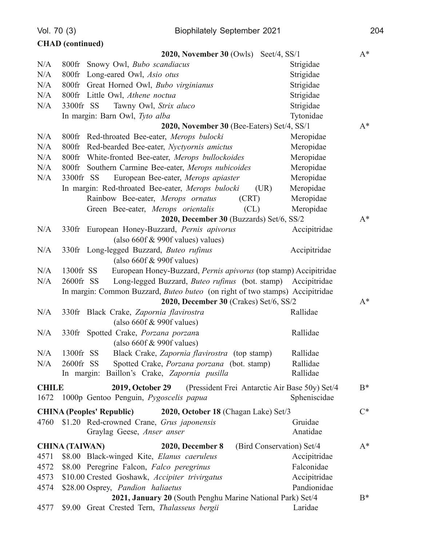Vol. 70 (3)

|                      | <b>CHAD</b> (continued)                                                                                             |              |       |
|----------------------|---------------------------------------------------------------------------------------------------------------------|--------------|-------|
|                      | $2020$ , November 30 (Owls)<br>Seet/4, $SS/1$                                                                       |              | $A^*$ |
| N/A                  | 800fr Snowy Owl, Bubo scandiacus                                                                                    | Strigidae    |       |
| N/A                  | 800fr Long-eared Owl, Asio otus                                                                                     | Strigidae    |       |
| N/A                  | 800fr Great Horned Owl, Bubo virginianus                                                                            | Strigidae    |       |
| N/A                  | 800fr Little Owl, Athene noctua                                                                                     | Strigidae    |       |
| N/A                  | Tawny Owl, Strix aluco<br>3300fr SS                                                                                 | Strigidae    |       |
|                      | In margin: Barn Owl, Tyto alba                                                                                      | Tytonidae    |       |
|                      | 2020, November 30 (Bee-Eaters) Set/4, SS/1                                                                          |              | $A^*$ |
| N/A                  | 800fr Red-throated Bee-eater, Merops bulocki                                                                        | Meropidae    |       |
| N/A                  | $800$ fr<br>Red-bearded Bee-eater, Nyctyornis amictus                                                               | Meropidae    |       |
| N/A                  | White-fronted Bee-eater, Merops bullockoides<br>$800$ fr                                                            | Meropidae    |       |
| N/A                  | 800fr Southern Carmine Bee-eater, Merops nubicoides                                                                 | Meropidae    |       |
| N/A                  | 3300fr SS<br>European Bee-eater, Merops apiaster                                                                    | Meropidae    |       |
|                      | In margin: Red-throated Bee-eater, Merops bulocki<br>(UR)                                                           | Meropidae    |       |
|                      | Rainbow Bee-eater, Merops ornatus<br>(CRT)                                                                          | Meropidae    |       |
|                      | Green Bee-eater, Merops orientalis<br>CL)                                                                           | Meropidae    |       |
|                      | 2020, December 30 (Buzzards) Set/6, SS/2                                                                            |              | $A^*$ |
| N/A                  | 330fr European Honey-Buzzard, Pernis apivorus                                                                       | Accipitridae |       |
|                      | (also $660f \& 990f$ values) values)                                                                                |              |       |
| N/A                  | 330fr Long-legged Buzzard, Buteo rufinus                                                                            | Accipitridae |       |
|                      | (also $660f$ & 990f values)                                                                                         |              |       |
| N/A                  | European Honey-Buzzard, Pernis apivorus (top stamp) Accipitridae<br>1300fr SS                                       |              |       |
| N/A                  | Long-legged Buzzard, Buteo rufinus (bot. stamp) Accipitridae<br>2600fr SS                                           |              |       |
|                      | In margin: Common Buzzard, <i>Buteo buteo</i> (on right of two stamps) Accipitridae                                 |              |       |
|                      | 2020, December 30 (Crakes) Set/6, SS/2                                                                              |              | $A^*$ |
| N/A                  | 330fr Black Crake, Zapornia flavirostra                                                                             | Rallidae     |       |
|                      | (also $660f$ & 990f values)                                                                                         |              |       |
| N/A                  | Spotted Crake, Porzana porzana<br>$330$ fr                                                                          | Rallidae     |       |
|                      | (also $660f$ & 990f values)                                                                                         |              |       |
| N/A                  | 1300fr SS<br>Black Crake, Zapornia flavirostra (top stamp)                                                          | Rallidae     |       |
| N/A                  | 2600fr SS<br>Spotted Crake, Porzana porzana (bot. stamp)                                                            | Rallidae     |       |
|                      | In margin: Baillon's Crake, Zapornia pusilla                                                                        | Rallidae     |       |
|                      |                                                                                                                     |              |       |
| <b>CHILE</b><br>1672 | <b>2019, October 29</b><br>(Pressident Frei Antarctic Air Base 50y) Set/4<br>1000p Gentoo Penguin, Pygoscelis papua | Spheniscidae | $B^*$ |
|                      |                                                                                                                     |              |       |
|                      | <b>CHINA (Peoples' Republic)</b><br>2020, October 18 (Chagan Lake) Set/3                                            |              | $C^*$ |
| 4760                 | \$1.20 Red-crowned Crane, Grus japonensis                                                                           | Gruidae      |       |
|                      | Graylag Geese, Anser anser                                                                                          | Anatidae     |       |
|                      | (Bird Conservation) Set/4<br><b>CHINA (TAIWAN)</b><br>2020, December 8                                              |              | $A^*$ |
| 4571                 | \$8.00 Black-winged Kite, Elanus caeruleus                                                                          | Accipitridae |       |
| 4572                 | \$8.00 Peregrine Falcon, Falco peregrinus                                                                           | Falconidae   |       |
| 4573                 | \$10.00 Crested Goshawk, Accipiter trivirgatus                                                                      | Accipitridae |       |
| 4574                 | \$28.00 Osprey, Pandion haliaetus                                                                                   | Pandionidae  |       |
|                      | 2021, January 20 (South Penghu Marine National Park) Set/4                                                          |              | $B^*$ |
| 4577                 | \$9.00 Great Crested Tern, Thalasseus bergii                                                                        | Laridae      |       |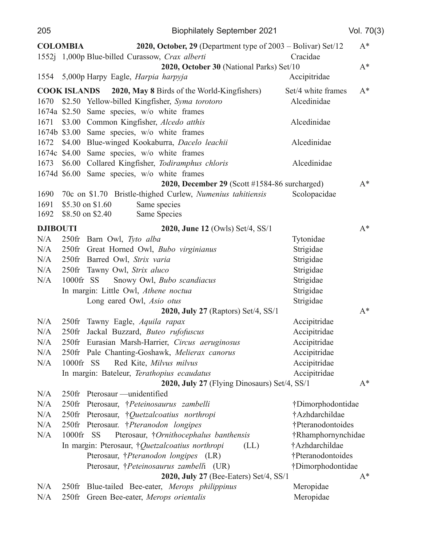| 205             |                     |                                                    | <b>Biophilately September 2021</b>                                     |                    | Vol. 70(3) |
|-----------------|---------------------|----------------------------------------------------|------------------------------------------------------------------------|--------------------|------------|
|                 | <b>COLOMBIA</b>     |                                                    | <b>2020, October, 29</b> (Department type of $2003 - Bolivar$ ) Set/12 |                    | $A^*$      |
|                 |                     | 1552j 1,000p Blue-billed Curassow, Crax alberti    |                                                                        | Cracidae           |            |
|                 |                     |                                                    | 2020, October 30 (National Parks) Set/10                               |                    | $A^*$      |
| 1554            |                     | 5,000p Harpy Eagle, Harpia harpyja                 |                                                                        | Accipitridae       |            |
|                 | <b>COOK ISLANDS</b> | <b>2020, May 8 Birds of the World-Kingfishers)</b> |                                                                        | Set/4 white frames | $A^*$      |
| 1670            |                     | \$2.50 Yellow-billed Kingfisher, Syma torotoro     |                                                                        | Alcedinidae        |            |
|                 |                     | 1674a \$2.50 Same species, w/o white frames        |                                                                        |                    |            |
| 1671            |                     | \$3.00 Common Kingfisher, Alcedo atthis            |                                                                        | Alcedinidae        |            |
|                 |                     | 1674b \$3.00 Same species, w/o white frames        |                                                                        |                    |            |
| 1672            |                     | \$4.00 Blue-winged Kookaburra, Dacelo leachii      |                                                                        | Alcedinidae        |            |
|                 |                     | 1674c \$4.00 Same species, w/o white frames        |                                                                        |                    |            |
| 1673            |                     | \$6.00 Collared Kingfisher, Todiramphus chloris    |                                                                        | Alcedinidae        |            |
|                 |                     | 1674d \$6.00 Same species, w/o white frames        |                                                                        |                    |            |
|                 |                     |                                                    | 2020, December 29 (Scott #1584-86 surcharged)                          |                    | $A^*$      |
| 1690            |                     |                                                    | 70c on \$1.70 Bristle-thighed Curlew, Numenius tahitiensis             | Scolopacidae       |            |
| 1691            | \$5.30 on \$1.60    | Same species                                       |                                                                        |                    |            |
| 1692            | \$8.50 on \$2.40    | Same Species                                       |                                                                        |                    |            |
| <b>DJIBOUTI</b> |                     |                                                    | 2020, June 12 (Owls) Set/4, SS/1                                       |                    | $A^*$      |
| N/A             | $250$ fr            | Barn Owl, Tyto alba                                |                                                                        | Tytonidae          |            |
| N/A             |                     | 250fr Great Horned Owl, Bubo virginianus           |                                                                        | Strigidae          |            |
| N/A             |                     | 250fr Barred Owl, Strix varia                      |                                                                        | Strigidae          |            |
| N/A             |                     | 250fr Tawny Owl, Strix aluco                       |                                                                        | Strigidae          |            |
| N/A             | 1000fr SS           | Snowy Owl, Bubo scandiacus                         |                                                                        | Strigidae          |            |
|                 |                     | In margin: Little Owl, Athene noctual              |                                                                        | Strigidae          |            |
|                 |                     | Long eared Owl, Asio otus                          |                                                                        | Strigidae          |            |
|                 |                     |                                                    | 2020, July 27 (Raptors) Set/4, SS/1                                    |                    | $A^*$      |
| N/A             | $250$ fr            | Tawny Eagle, Aquila rapax                          |                                                                        | Accipitridae       |            |
| N/A             | $250$ fr            | Jackal Buzzard, Buteo rufofuscus                   |                                                                        | Accipitridae       |            |
| N/A             |                     | 250fr Eurasian Marsh-Harrier, Circus aeruginosus   |                                                                        | Accipitridae       |            |
| N/A             |                     | 250fr Pale Chanting-Goshawk, Melierax canorus      |                                                                        | Accipitridae       |            |
| N/A             | 1000fr SS           | Red Kite, Milvus milvus                            |                                                                        | Accipitridae       |            |
|                 |                     | In margin: Bateleur, Terathopius ecaudatus         |                                                                        | Accipitridae       |            |
|                 |                     |                                                    | 2020, July 27 (Flying Dinosaurs) Set/4, SS/1                           |                    | $A^*$      |
| N/A             | $250$ fr            | Pterosaur — unidentified                           |                                                                        |                    |            |
| N/A             | $250$ fr            | Pterosaur, <i>†Peteinosaurus zambelli</i>          |                                                                        | †Dimorphodontidae  |            |
| N/A             |                     | 250fr Pterosaur, <i>†Quetzalcoatius northropi</i>  |                                                                        | †Azhdarchildae     |            |
| N/A             |                     | 250fr Pterosaur. †Pteranodon longipes              |                                                                        | †Pteranodontoides  |            |
| N/A             | 1000fr SS           | Pterosaur, †Ornithocephalus banthensis             |                                                                        | †Rhamphornynchidae |            |
|                 |                     | In margin: Pterosaur, †Quetzalcoatius northropi    | (LL)                                                                   | †Azhdarchildae     |            |
|                 |                     | Pterosaur, †Pteranodon longipes (LR)               |                                                                        | †Pteranodontoides  |            |
|                 |                     | Pterosaur, †Peteinosaurus zambelli (UR)            |                                                                        | †Dimorphodontidae  |            |
|                 |                     |                                                    | 2020, July 27 (Bee-Eaters) Set/4, SS/1                                 |                    | $A^*$      |
| N/A             | $250$ fr            | Blue-tailed Bee-eater, Merops philippinus          |                                                                        | Meropidae          |            |
| N/A             | $250$ fr            | Green Bee-eater, Merops orientalis                 |                                                                        | Meropidae          |            |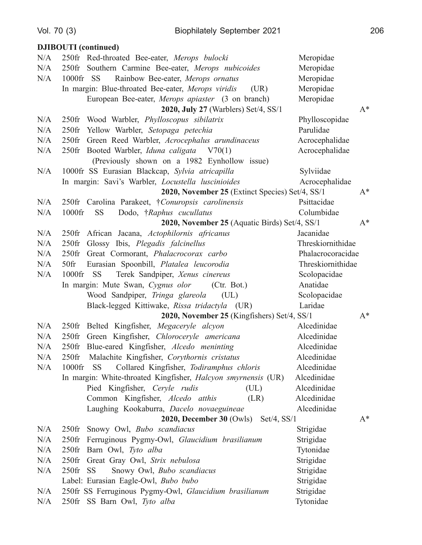Vol. 70 (3)

 $N/A$ 

 $N/A$ 

 $N/A$ 

 $N/A$ 

 $N/A$  $N/A$ 

 $N/A$ 

 $N/A$ 

 $N/A$ 

 $N/A$ 

 $N/A$ 

 $N/A$ 

 $N/A$ 

 $N/A$ 

 $N/A$ 

 $N/A$ 

 $N/A$ 

 $N/A$ 

 $N/A$ 

 $N/A$ 

 $N/A$ 

 $N/A$ 

 $N/A$ 

 $N/A$ 

 $N/A$ 

 $N/A$ 

 $N/A$ 

250fr SS

250fr Barn Owl, Tyto alba

250fr Great Gray Owl, Strix nebulosa

Label: Eurasian Eagle-Owl, Bubo bubo

250fr SS Barn Owl, Tyto alba

Snowy Owl, Bubo scandiacus

250fr SS Ferruginous Pygmy-Owl, Glaucidium brasilianum

#### **DJIBOUTI** (continued) 250fr Red-throated Bee-eater, Merops bulocki Meropidae 250fr Southern Carmine Bee-eater, Merops nubicoides Meropidae Meropidae  $1000$ fr SS Rainbow Bee-eater, Merops ornatus In margin: Blue-throated Bee-eater, Merops viridis Meropidae  $(UR)$ European Bee-eater, *Merops apiaster* (3 on branch) Meropidae 2020, July 27 (Warblers) Set/4, SS/1  $A^*$ 250fr Wood Warbler, Phylloscopus sibilatrix Phylloscopidae 250fr Yellow Warbler, Setopaga petechia Parulidae 250fr Green Reed Warbler, Acrocephalus arundinaceus Acrocephalidae Acrocephalidae 250fr Booted Warbler, Iduna caligata  $V70(1)$ (Previously shown on a 1982 Eynhollow issue) 1000fr SS Eurasian Blackcap, Sylvia atricapilla Sylviidae In margin: Savi's Warbler, Locustella luscinioides Acrocephalidae 2020, November 25 (Extinct Species) Set/4, SS/1  $A^*$ 250fr Carolina Parakeet, †Conuropsis carolinensis Psittacidae  $1000$ fr Dodo, †Raphus cucullatus Columbidae SS<sub>1</sub> 2020, November 25 (Aquatic Birds) Set/4, SS/1  $A^*$ 250fr African Jacana, Actophilornis africanus Jacanidae 250fr Glossy Ibis, Plegadis falcinellus Threskiornithidae 250fr Great Cormorant, Phalacrocorax carbo Phalacrocoracidae  $50$ fr Eurasian Spoonbill, Platalea leucorodia Threskiornithidae 1000fr SS Terek Sandpiper, Xenus cinereus Scolopacidae In margin: Mute Swan, Cygnus olor  $(ctr. Bot.)$ Anatidae Wood Sandpiper, Tringa glareola Scolopacidae  $(UL)$ Black-legged Kittiwake, Rissa tridactyla (UR) Laridae 2020, November 25 (Kingfishers) Set/4, SS/1  $A^*$ 250fr Belted Kingfisher, Megaceryle alcyon Alcedinidae 250fr Green Kingfisher, Chloroceryle americana Alcedinidae 250fr Blue-eared Kingfisher, Alcedo meninting Alcedinidae 250fr Malachite Kingfisher, Corythornis cristatus Alcedinidae 1000fr SS Collared Kingfisher, Todiramphus chloris Alcedinidae In margin: White-throated Kingfisher, Halcyon smyrnensis (UR) Alcedinidae Pied Kingfisher, Ceryle rudis  $(UL)$ Alcedinidae Common Kingfisher, Alcedo atthis Alcedinidae  $(LR)$ Laughing Kookaburra, Dacelo novaeguineae Alcedinidae 2020, December 30 (Owls) Set/4, SS/1  $A^*$ 250fr Snowy Owl, Bubo scandiacus Strigidae 250fr Ferruginous Pygmy-Owl, Glaucidium brasilianum Strigidae

Tytonidae

Strigidae

Strigidae

Strigidae

Strigidae

Tytonidae

206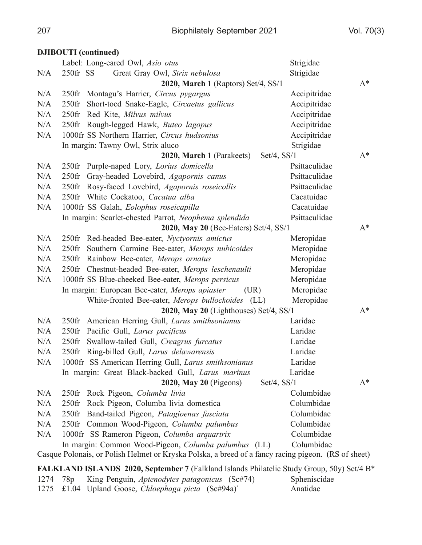|      |             | <b>DJIBOUTI</b> (continued)                                                                         |               |       |
|------|-------------|-----------------------------------------------------------------------------------------------------|---------------|-------|
|      |             | Label: Long-eared Owl, Asio otus                                                                    | Strigidae     |       |
| N/A  | $250$ fr SS | Great Gray Owl, Strix nebulosa                                                                      | Strigidae     |       |
|      |             | 2020, March 1 (Raptors) Set/4, SS/1                                                                 |               | $A^*$ |
| N/A  | $250$ fr    | Montagu's Harrier, Circus pygargus                                                                  | Accipitridae  |       |
| N/A  | $250$ fr    | Short-toed Snake-Eagle, Circaetus gallicus                                                          | Accipitridae  |       |
| N/A  | $250$ fr    | Red Kite, Milvus milvus                                                                             | Accipitridae  |       |
| N/A  |             | 250fr Rough-legged Hawk, Buteo lagopus                                                              | Accipitridae  |       |
| N/A  |             | 1000fr SS Northern Harrier, Circus hudsonius                                                        | Accipitridae  |       |
|      |             | In margin: Tawny Owl, Strix aluco                                                                   | Strigidae     |       |
|      |             | $Set/4$ , $SS/1$<br>2020, March 1 (Parakeets)                                                       |               | $A^*$ |
| N/A  | $250$ fr    | Purple-naped Lory, Lorius domicella                                                                 | Psittaculidae |       |
| N/A  | $250$ fr    | Gray-headed Lovebird, Agapornis canus                                                               | Psittaculidae |       |
| N/A  |             | 250fr Rosy-faced Lovebird, Agapornis roseicollis                                                    | Psittaculidae |       |
| N/A  |             | 250fr White Cockatoo, Cacatua alba                                                                  | Cacatuidae    |       |
| N/A  |             | 1000fr SS Galah, Eolophus roseicapilla                                                              | Cacatuidae    |       |
|      |             | In margin: Scarlet-chested Parrot, Neophema splendida                                               | Psittaculidae |       |
|      |             | 2020, May 20 (Bee-Eaters) Set/4, SS/1                                                               |               | $A^*$ |
| N/A  | $250$ fr    | Red-headed Bee-eater, Nyctyornis amictus                                                            | Meropidae     |       |
| N/A  |             | 250fr Southern Carmine Bee-eater, Merops nubicoides                                                 | Meropidae     |       |
| N/A  | $250$ fr    | Rainbow Bee-eater, Merops ornatus                                                                   | Meropidae     |       |
| N/A  |             | 250fr Chestnut-headed Bee-eater, Merops leschenaulti                                                | Meropidae     |       |
| N/A  |             | 1000fr SS Blue-cheeked Bee-eater, Merops persicus                                                   | Meropidae     |       |
|      |             | In margin: European Bee-eater, Merops apiaster<br>(UR)                                              | Meropidae     |       |
|      |             | White-fronted Bee-eater, Merops bullockoides (LL)                                                   | Meropidae     |       |
|      |             | 2020, May 20 (Lighthouses) Set/4, SS/1                                                              |               | $A^*$ |
| N/A  | $250$ fr    | American Herring Gull, Larus smithsonianus                                                          | Laridae       |       |
| N/A  | $250$ fr    | Pacific Gull, Larus pacificus                                                                       | Laridae       |       |
| N/A  | $250$ fr    | Swallow-tailed Gull, Creagrus furcatus                                                              | Laridae       |       |
| N/A  | $250$ fr    | Ring-billed Gull, Larus delawarensis                                                                | Laridae       |       |
| N/A  |             | 1000fr SS American Herring Gull, Larus smithsonianus                                                | Laridae       |       |
|      |             | In margin: Great Black-backed Gull, Larus marinus                                                   | Laridae       |       |
|      |             | 2020, May 20 (Pigeons)<br>$Set/4$ , $SS/1$                                                          |               | $A^*$ |
| N/A  | $250$ fr    | Rock Pigeon, Columba livia                                                                          | Columbidae    |       |
| N/A  | $250$ fr    | Rock Pigeon, Columba livia domestica                                                                | Columbidae    |       |
| N/A  | $250$ fr    | Band-tailed Pigeon, Patagioenas fasciata                                                            | Columbidae    |       |
| N/A  |             | 250fr Common Wood-Pigeon, Columba palumbus                                                          | Columbidae    |       |
| N/A  |             | 1000fr SS Rameron Pigeon, Columba arquartrix                                                        | Columbidae    |       |
|      |             | In margin: Common Wood-Pigeon, Columba palumbus (LL)                                                | Columbidae    |       |
|      |             | Casque Polonais, or Polish Helmet or Kryska Polska, a breed of a fancy racing pigeon. (RS of sheet) |               |       |
|      |             | FALKLAND ISLANDS 2020, September 7 (Falkland Islands Philatelic Study Group, 50y) Set/4 B*          |               |       |
| 1274 | 78p         | King Penguin, Aptenodytes patagonicus (Sc#74)                                                       | Spheniscidae  |       |
| 1275 |             | £1.04 Upland Goose, Chloephaga picta (Sc#94a)`                                                      | Anatidae      |       |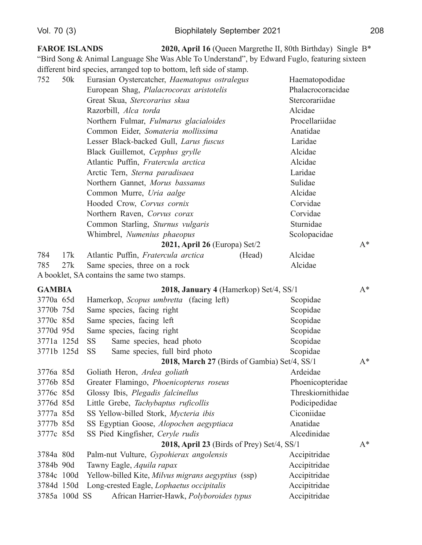3785a 100d SS

#### **FAROE ISLANDS** 2020, April 16 (Queen Margrethe II, 80th Birthday) Single B<sup>\*</sup> "Bird Song & Animal Language She Was Able To Understand", by Edward Fuglo, featuring sixteen different bird species, arranged top to bottom, left side of stamp. 752  $50k$ Eurasian Oystercatcher, Haematopus ostralegus Haematopodidae European Shag, Plalacrocorax aristotelis Phalacrocoracidae Great Skua, Stercorarius skua Stercorariidae Razorbill, Alca torda Alcidae Northern Fulmar, Fulmarus glacialoides Procellariidae Common Eider, Somateria mollissima Anatidae Lesser Black-backed Gull, Larus fuscus Laridae Black Guillemot, Cepphus grylle Alcidae Atlantic Puffin, Fratercula arctica Alcidae Arctic Tern, Sterna paradisaea Laridae Northern Gannet, Morus bassanus Sulidae Common Murre, Uria aalge Alcidae Corvidae Hooded Crow, Corvus cornix Northern Raven, Corvus corax Corvidae Common Starling, Sturnus vulgaris Sturnidae Whimbrel, Numenius phaeopus Scolopacidae 2021, April 26 (Europa)  $Set/2$  $A^*$ Atlantic Puffin, Fratercula arctica Alcidae 784  $17k$ (Head) 785  $27k$ Same species, three on a rock Alcidae A booklet, SA contains the same two stamps. **GAMBIA** 2018, January 4 (Hamerkop) Set/4, SS/1  $A^*$ 3770a 65d Hamerkop, Scopus umbretta (facing left) Scopidae 3770b 75d Same species, facing right Scopidae 3770c 85d Same species, facing left Scopidae 3770d 95d Same species, facing right Scopidae 3771a 125d **SS** Same species, head photo Scopidae 3771b 125d **SS** Same species, full bird photo Scopidae 2018, March 27 (Birds of Gambia) Set/4, SS/1  $A^*$ 3776a 85d Goliath Heron, Ardea goliath Ardeidae 3776b 85d Greater Flamingo, Phoenicopterus roseus Phoenicopteridae 3776c 85d Glossy Ibis, Plegadis falcinellus Threskiornithidae 3776d 85d Little Grebe, Tachybaptus ruficollis Podicipedidae 3777a 85d SS Yellow-billed Stork, Mycteria ibis Ciconiidae 3777b 85d SS Egyptian Goose, Alopochen aegyptiaca Anatidae 3777c 85d SS Pied Kingfisher, Ceryle rudis Alcedinidae 2018, April 23 (Birds of Prey) Set/4,  $SS/1$  $A^*$ 3784a 80d Palm-nut Vulture, Gypohierax angolensis Accipitridae 3784b 90d Tawny Eagle, Aquila rapax Accipitridae 3784c 100d Yellow-billed Kite, Milvus migrans aegyptius (ssp) Accipitridae 3784d 150d Long-crested Eagle, *Lophaetus occipitalis* Accipitridae

African Harrier-Hawk, Polyboroides typus

Accipitridae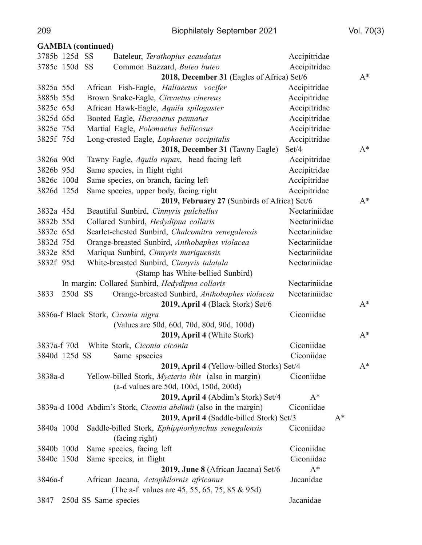|             |               | <b>GAMBIA</b> (continued)                                            |               |       |
|-------------|---------------|----------------------------------------------------------------------|---------------|-------|
|             | 3785b 125d SS | Bateleur, Terathopius ecaudatus                                      | Accipitridae  |       |
|             | 3785c 150d SS | Common Buzzard, Buteo buteo                                          | Accipitridae  |       |
|             |               | 2018, December 31 (Eagles of Africa) Set/6                           |               | $A^*$ |
| 3825a 55d   |               | African Fish-Eagle, Haliaeetus vocifer                               | Accipitridae  |       |
| 3885b 55d   |               | Brown Snake-Eagle, Circaetus cinereus                                | Accipitridae  |       |
| 3825c 65d   |               | African Hawk-Eagle, Aquila spilogaster                               | Accipitridae  |       |
| 3825d 65d   |               | Booted Eagle, Hieraaetus pennatus                                    | Accipitridae  |       |
| 3825e 75d   |               | Martial Eagle, Polemaetus bellicosus                                 | Accipitridae  |       |
| 3825f 75d   |               | Long-crested Eagle, Lophaetus occipitalis                            | Accipitridae  |       |
|             |               | 2018, December 31 (Tawny Eagle)                                      | Set/4         | $A^*$ |
| 3826a 90d   |               | Tawny Eagle, Aquila rapax, head facing left                          | Accipitridae  |       |
| 3826b 95d   |               | Same species, in flight right                                        | Accipitridae  |       |
| 3826c 100d  |               | Same species, on branch, facing left                                 | Accipitridae  |       |
| 3826d 125d  |               | Same species, upper body, facing right                               | Accipitridae  |       |
|             |               | 2019, February 27 (Sunbirds of Africa) Set/6                         |               | $A^*$ |
| 3832a 45d   |               | Beautiful Sunbird, Cinnyris pulchellus                               | Nectariniidae |       |
| 3832b 55d   |               | Collared Sunbird, Hedydipna collaris                                 | Nectariniidae |       |
| 3832c 65d   |               | Scarlet-chested Sunbird, Chalcomitra senegalensis                    | Nectariniidae |       |
| 3832d 75d   |               | Orange-breasted Sunbird, Anthobaphes violacea                        | Nectariniidae |       |
| 3832e 85d   |               | Mariqua Sunbird, Cinnyris mariquensis                                | Nectariniidae |       |
| 3832f 95d   |               | White-breasted Sunbird, Cinnyris talatala                            | Nectariniidae |       |
|             |               | (Stamp has White-bellied Sunbird)                                    |               |       |
|             |               | In margin: Collared Sunbird, Hedydipna collaris                      | Nectariniidae |       |
| 3833        | 250d SS       | Orange-breasted Sunbird, Anthobaphes violacea                        | Nectariniidae |       |
|             |               | 2019, April 4 (Black Stork) Set/6                                    |               | $A^*$ |
|             |               | 3836a-f Black Stork, Ciconia nigra                                   | Ciconiidae    |       |
|             |               | (Values are 50d, 60d, 70d, 80d, 90d, 100d)                           |               |       |
|             |               | 2019, April 4 (White Stork)                                          |               | $A^*$ |
| 3837a-f 70d |               | White Stork, Ciconia ciconia                                         | Ciconiidae    |       |
|             | 3840d 125d SS | Same spsecies                                                        | Ciconiidae    |       |
|             |               | 2019, April 4 (Yellow-billed Storks) Set/4                           |               | $A^*$ |
| 3838a-d     |               | Yellow-billed Stork, Mycteria ibis (also in margin)                  | Ciconiidae    |       |
|             |               | (a-d values are 50d, 100d, 150d, 200d)                               |               |       |
|             |               | 2019, April 4 (Abdim's Stork) Set/4                                  | $A^*$         |       |
|             |               | 3839a-d 100d Abdim's Stork, Ciconia abdimii (also in the margin)     | Ciconiidae    |       |
|             |               | 2019, April 4 (Saddle-billed Stork) Set/3                            | $A^*$         |       |
| 3840a 100d  |               | Saddle-billed Stork, Ephippiorhynchus senegalensis<br>(facing right) | Ciconiidae    |       |
| 3840b 100d  |               | Same species, facing left                                            | Ciconiidae    |       |
| 3840c 150d  |               | Same species, in flight                                              | Ciconiidae    |       |
|             |               | 2019, June 8 (African Jacana) Set/6                                  | $A^*$         |       |
| 3846a-f     |               | African Jacana, Actophilornis africanus                              | Jacanidae     |       |
|             |               | (The a-f values are 45, 55, 65, 75, 85 & 95d)                        |               |       |
| 3847        |               | 250d SS Same species                                                 | Jacanidae     |       |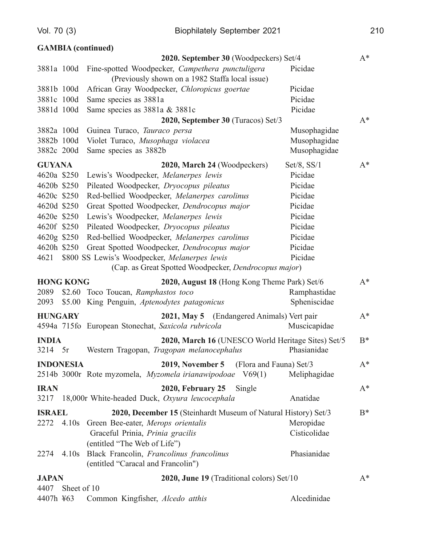|                  |                  | <b>GAMBIA</b> (continued)                                                                                           |                  |       |
|------------------|------------------|---------------------------------------------------------------------------------------------------------------------|------------------|-------|
|                  |                  | 2020. September 30 (Woodpeckers) Set/4                                                                              |                  | $A^*$ |
| 3881a 100d       |                  | Fine-spotted Woodpecker, Campethera punctuligera                                                                    | Picidae          |       |
|                  |                  | (Previously shown on a 1982 Staffa local issue)                                                                     |                  |       |
| 3881b 100d       |                  | African Gray Woodpecker, Chloropicus goertae                                                                        | Picidae          |       |
| 3881c 100d       |                  | Same species as 3881a                                                                                               | Picidae          |       |
| 3881d 100d       |                  | Same species as 3881a & 3881c                                                                                       | Picidae          |       |
|                  |                  | 2020, September 30 (Turacos) Set/3                                                                                  |                  | $A^*$ |
| 3882a 100d       |                  | Guinea Turaco, Tauraco persa                                                                                        | Musophagidae     |       |
| 3882b 100d       |                  | Violet Turaco, Musophaga violacea                                                                                   | Musophagidae     |       |
| 3882c 200d       |                  | Same species as 3882b                                                                                               | Musophagidae     |       |
| <b>GUYANA</b>    |                  | 2020, March 24 (Woodpeckers)                                                                                        | $Set/8$ , $SS/1$ | $A^*$ |
| 4620a \$250      |                  | Lewis's Woodpecker, Melanerpes lewis                                                                                | Picidae          |       |
| 4620b \$250      |                  | Pileated Woodpecker, Dryocopus pileatus                                                                             | Picidae          |       |
| 4620c \$250      |                  | Red-bellied Woodpecker, Melanerpes carolinus                                                                        | Picidae          |       |
| 4620d \$250      |                  | Great Spotted Woodpecker, Dendrocopus major                                                                         | Picidae          |       |
| 4620e \$250      |                  | Lewis's Woodpecker, Melanerpes lewis                                                                                | Picidae          |       |
| 4620f \$250      |                  | Pileated Woodpecker, Dryocopus pileatus                                                                             | Picidae          |       |
| 4620g \$250      |                  | Red-bellied Woodpecker, Melanerpes carolinus                                                                        | Picidae          |       |
| 4620h \$250      |                  | Great Spotted Woodpecker, Dendrocopus major                                                                         | Picidae          |       |
| 4621             |                  | \$800 SS Lewis's Woodpecker, Melanerpes lewis                                                                       | Picidae          |       |
|                  |                  | (Cap. as Great Spotted Woodpecker, Dendrocopus major)                                                               |                  |       |
|                  | <b>HONG KONG</b> | 2020, August 18 (Hong Kong Theme Park) Set/6                                                                        |                  | $A^*$ |
| 2089             |                  | \$2.60 Toco Toucan, Ramphastos toco                                                                                 | Ramphastidae     |       |
| 2093             | \$5.00           | King Penguin, Aptenodytes patagonicus                                                                               | Spheniscidae     |       |
| <b>HUNGARY</b>   |                  | 2021, May 5 (Endangered Animals) Vert pair                                                                          |                  | $A^*$ |
|                  |                  | 4594a 715fo European Stonechat, Saxicola rubricola                                                                  | Muscicapidae     |       |
|                  |                  |                                                                                                                     |                  |       |
| <b>INDIA</b>     |                  | 2020, March 16 (UNESCO World Heritage Sites) Set/5<br>3214 5r Western Tragopan, Tragopan melanocephalus Phasianidae |                  | $B^*$ |
| <b>INDONESIA</b> |                  | <b>2019, November 5</b><br>(Flora and Fauna) Set/3                                                                  |                  | $A^*$ |
|                  |                  | 2514b 3000r Rote myzomela, Myzomela irianawipodoae V69(1)                                                           | Meliphagidae     |       |
| <b>IRAN</b>      |                  | <b>2020, February 25</b><br>Single                                                                                  |                  | $A^*$ |
| 3217             |                  | 18,000r White-headed Duck, Oxyura leucocephala                                                                      | Anatidae         |       |
| <b>ISRAEL</b>    |                  | 2020, December 15 (Steinhardt Museum of Natural History) Set/3                                                      |                  | $B^*$ |
|                  |                  | 2272 4.10s Green Bee-eater, Merops orientalis                                                                       | Meropidae        |       |
|                  |                  | Graceful Prinia, Prinia gracilis                                                                                    | Cisticolidae     |       |
|                  |                  | (entitled "The Web of Life")                                                                                        |                  |       |
| 2274             | 4.10s            | Black Francolin, Francolinus francolinus                                                                            | Phasianidae      |       |
|                  |                  | (entitled "Caracal and Francolin")                                                                                  |                  |       |
| <b>JAPAN</b>     |                  | 2020, June 19 (Traditional colors) Set/10                                                                           |                  | $A^*$ |
| 4407             | Sheet of 10      |                                                                                                                     |                  |       |

|  | 4407h ¥63 Common Kingfisher, <i>Alcedo atthis</i> | Alcedinidae |
|--|---------------------------------------------------|-------------|
|--|---------------------------------------------------|-------------|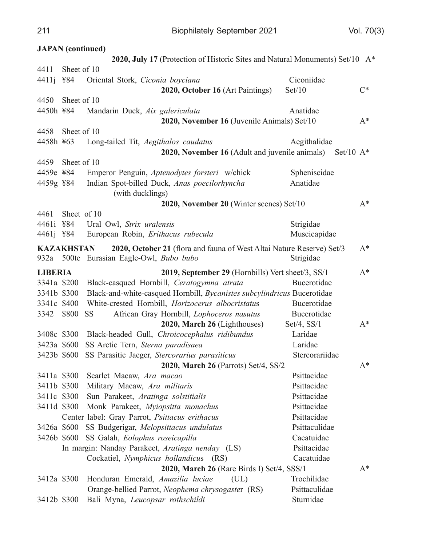| 2020, July 17 (Protection of Historic Sites and Natural Monuments) Set/10 A*<br>Sheet of 10<br>Ciconiidae<br>¥84<br>Oriental Stork, Ciconia boyciana<br>2020, October 16 (Art Paintings)<br>Set/10<br>$C^*$<br>Sheet of 10<br>4450h ¥84<br>Mandarin Duck, Aix galericulata<br>Anatidae<br>2020, November 16 (Juvenile Animals) Set/10<br>$A^*$<br>Sheet of 10<br>Aegithalidae<br>4458h ¥63<br>Long-tailed Tit, Aegithalos caudatus<br>2020, November 16 (Adult and juvenile animals)<br>Set/10 $A^*$<br>Sheet of 10<br>Emperor Penguin, Aptenodytes forsteri w/chick<br>Spheniscidae<br>4459e ¥84<br>Indian Spot-billed Duck, Anas poecilorhyncha<br>4459g ¥84<br>Anatidae<br>(with ducklings)<br>2020, November 20 (Winter scenes) Set/10<br>$A^*$<br>Sheet of 10<br>Strigidae<br>¥84<br>Ural Owl, Strix uralensis<br>Muscicapidae<br>4461j ¥84<br>European Robin, Erithacus rubecula<br><b>KAZAKHSTAN</b><br>2020, October 21 (flora and fauna of West Altai Nature Reserve) Set/3<br>$A^*$<br>932a 500te Eurasian Eagle-Owl, Bubo bubo<br>Strigidae<br><b>LIBERIA</b><br>2019, September 29 (Hornbills) Vert sheet/3, SS/1<br>$A^*$<br>3341a \$200<br>Black-casqued Hornbill, Ceratogymna atrata<br>Bucerotidae<br>Black-and-white-casqued Hornbill, Bycanistes subcylindricus Bucerotidae<br>3341b \$300<br>White-crested Hornbill, Horizocerus albocristatus<br>3341c \$400<br>Bucerotidae<br>3342<br>\$800<br>African Gray Hornbill, Lophoceros nasutus<br>Bucerotidae<br><b>SS</b><br>2020, March 26 (Lighthouses)<br>Set/4, $SS/1$<br>$A^*$<br>3408c \$300<br>Black-headed Gull, Chroicocephalus ridibundus<br>Laridae<br>SS Arctic Tern, Sterna paradisaea<br>Laridae<br>3423a \$600<br>3423b \$600 SS Parasitic Jaeger, Stercorarius parasiticus<br>Stercorariidae<br>2020, March 26 (Parrots) Set/4, SS/2<br>$A^*$<br>3411a \$300<br>Psittacidae<br>Scarlet Macaw, Ara macao<br>3411b \$300<br>Psittacidae<br>Military Macaw, Ara militaris<br>3411c \$300<br>Sun Parakeet, Aratinga solstitialis<br>Psittacidae<br>3411d \$300<br>Psittacidae<br>Monk Parakeet, Myiopsitta monachus<br>Psittacidae<br>Center label: Gray Parrot, Psittacus erithacus<br>SS Budgerigar, Melopsittacus undulatus<br>Psittaculidae<br>3426a \$600<br>Cacatuidae<br>3426b \$600<br>SS Galah, Eolophus roseicapilla<br>Psittacidae<br>In margin: Nanday Parakeet, Aratinga nenday (LS)<br>Cockatiel, Nymphicus hollandicus (RS)<br>Cacatuidae<br>2020, March 26 (Rare Birds I) Set/4, SSS/1<br>$A^*$<br>3412a \$300<br>(UL)<br>Trochilidae<br>Honduran Emerald, Amazilia luciae |       | <b>JAPAN</b> (continued) |  |  |
|------------------------------------------------------------------------------------------------------------------------------------------------------------------------------------------------------------------------------------------------------------------------------------------------------------------------------------------------------------------------------------------------------------------------------------------------------------------------------------------------------------------------------------------------------------------------------------------------------------------------------------------------------------------------------------------------------------------------------------------------------------------------------------------------------------------------------------------------------------------------------------------------------------------------------------------------------------------------------------------------------------------------------------------------------------------------------------------------------------------------------------------------------------------------------------------------------------------------------------------------------------------------------------------------------------------------------------------------------------------------------------------------------------------------------------------------------------------------------------------------------------------------------------------------------------------------------------------------------------------------------------------------------------------------------------------------------------------------------------------------------------------------------------------------------------------------------------------------------------------------------------------------------------------------------------------------------------------------------------------------------------------------------------------------------------------------------------------------------------------------------------------------------------------------------------------------------------------------------------------------------------------------------------------------------------------------------------------------------------------------------------------------------------------------------------------------------------------------------------------------------------------------------------------------------------------------|-------|--------------------------|--|--|
|                                                                                                                                                                                                                                                                                                                                                                                                                                                                                                                                                                                                                                                                                                                                                                                                                                                                                                                                                                                                                                                                                                                                                                                                                                                                                                                                                                                                                                                                                                                                                                                                                                                                                                                                                                                                                                                                                                                                                                                                                                                                                                                                                                                                                                                                                                                                                                                                                                                                                                                                                                        |       |                          |  |  |
|                                                                                                                                                                                                                                                                                                                                                                                                                                                                                                                                                                                                                                                                                                                                                                                                                                                                                                                                                                                                                                                                                                                                                                                                                                                                                                                                                                                                                                                                                                                                                                                                                                                                                                                                                                                                                                                                                                                                                                                                                                                                                                                                                                                                                                                                                                                                                                                                                                                                                                                                                                        | 4411  |                          |  |  |
|                                                                                                                                                                                                                                                                                                                                                                                                                                                                                                                                                                                                                                                                                                                                                                                                                                                                                                                                                                                                                                                                                                                                                                                                                                                                                                                                                                                                                                                                                                                                                                                                                                                                                                                                                                                                                                                                                                                                                                                                                                                                                                                                                                                                                                                                                                                                                                                                                                                                                                                                                                        | 4411j |                          |  |  |
|                                                                                                                                                                                                                                                                                                                                                                                                                                                                                                                                                                                                                                                                                                                                                                                                                                                                                                                                                                                                                                                                                                                                                                                                                                                                                                                                                                                                                                                                                                                                                                                                                                                                                                                                                                                                                                                                                                                                                                                                                                                                                                                                                                                                                                                                                                                                                                                                                                                                                                                                                                        |       |                          |  |  |
|                                                                                                                                                                                                                                                                                                                                                                                                                                                                                                                                                                                                                                                                                                                                                                                                                                                                                                                                                                                                                                                                                                                                                                                                                                                                                                                                                                                                                                                                                                                                                                                                                                                                                                                                                                                                                                                                                                                                                                                                                                                                                                                                                                                                                                                                                                                                                                                                                                                                                                                                                                        | 4450  |                          |  |  |
|                                                                                                                                                                                                                                                                                                                                                                                                                                                                                                                                                                                                                                                                                                                                                                                                                                                                                                                                                                                                                                                                                                                                                                                                                                                                                                                                                                                                                                                                                                                                                                                                                                                                                                                                                                                                                                                                                                                                                                                                                                                                                                                                                                                                                                                                                                                                                                                                                                                                                                                                                                        |       |                          |  |  |
|                                                                                                                                                                                                                                                                                                                                                                                                                                                                                                                                                                                                                                                                                                                                                                                                                                                                                                                                                                                                                                                                                                                                                                                                                                                                                                                                                                                                                                                                                                                                                                                                                                                                                                                                                                                                                                                                                                                                                                                                                                                                                                                                                                                                                                                                                                                                                                                                                                                                                                                                                                        |       |                          |  |  |
|                                                                                                                                                                                                                                                                                                                                                                                                                                                                                                                                                                                                                                                                                                                                                                                                                                                                                                                                                                                                                                                                                                                                                                                                                                                                                                                                                                                                                                                                                                                                                                                                                                                                                                                                                                                                                                                                                                                                                                                                                                                                                                                                                                                                                                                                                                                                                                                                                                                                                                                                                                        | 4458  |                          |  |  |
|                                                                                                                                                                                                                                                                                                                                                                                                                                                                                                                                                                                                                                                                                                                                                                                                                                                                                                                                                                                                                                                                                                                                                                                                                                                                                                                                                                                                                                                                                                                                                                                                                                                                                                                                                                                                                                                                                                                                                                                                                                                                                                                                                                                                                                                                                                                                                                                                                                                                                                                                                                        |       |                          |  |  |
|                                                                                                                                                                                                                                                                                                                                                                                                                                                                                                                                                                                                                                                                                                                                                                                                                                                                                                                                                                                                                                                                                                                                                                                                                                                                                                                                                                                                                                                                                                                                                                                                                                                                                                                                                                                                                                                                                                                                                                                                                                                                                                                                                                                                                                                                                                                                                                                                                                                                                                                                                                        |       |                          |  |  |
|                                                                                                                                                                                                                                                                                                                                                                                                                                                                                                                                                                                                                                                                                                                                                                                                                                                                                                                                                                                                                                                                                                                                                                                                                                                                                                                                                                                                                                                                                                                                                                                                                                                                                                                                                                                                                                                                                                                                                                                                                                                                                                                                                                                                                                                                                                                                                                                                                                                                                                                                                                        | 4459  |                          |  |  |
|                                                                                                                                                                                                                                                                                                                                                                                                                                                                                                                                                                                                                                                                                                                                                                                                                                                                                                                                                                                                                                                                                                                                                                                                                                                                                                                                                                                                                                                                                                                                                                                                                                                                                                                                                                                                                                                                                                                                                                                                                                                                                                                                                                                                                                                                                                                                                                                                                                                                                                                                                                        |       |                          |  |  |
|                                                                                                                                                                                                                                                                                                                                                                                                                                                                                                                                                                                                                                                                                                                                                                                                                                                                                                                                                                                                                                                                                                                                                                                                                                                                                                                                                                                                                                                                                                                                                                                                                                                                                                                                                                                                                                                                                                                                                                                                                                                                                                                                                                                                                                                                                                                                                                                                                                                                                                                                                                        |       |                          |  |  |
|                                                                                                                                                                                                                                                                                                                                                                                                                                                                                                                                                                                                                                                                                                                                                                                                                                                                                                                                                                                                                                                                                                                                                                                                                                                                                                                                                                                                                                                                                                                                                                                                                                                                                                                                                                                                                                                                                                                                                                                                                                                                                                                                                                                                                                                                                                                                                                                                                                                                                                                                                                        |       |                          |  |  |
|                                                                                                                                                                                                                                                                                                                                                                                                                                                                                                                                                                                                                                                                                                                                                                                                                                                                                                                                                                                                                                                                                                                                                                                                                                                                                                                                                                                                                                                                                                                                                                                                                                                                                                                                                                                                                                                                                                                                                                                                                                                                                                                                                                                                                                                                                                                                                                                                                                                                                                                                                                        |       |                          |  |  |
|                                                                                                                                                                                                                                                                                                                                                                                                                                                                                                                                                                                                                                                                                                                                                                                                                                                                                                                                                                                                                                                                                                                                                                                                                                                                                                                                                                                                                                                                                                                                                                                                                                                                                                                                                                                                                                                                                                                                                                                                                                                                                                                                                                                                                                                                                                                                                                                                                                                                                                                                                                        | 4461  |                          |  |  |
|                                                                                                                                                                                                                                                                                                                                                                                                                                                                                                                                                                                                                                                                                                                                                                                                                                                                                                                                                                                                                                                                                                                                                                                                                                                                                                                                                                                                                                                                                                                                                                                                                                                                                                                                                                                                                                                                                                                                                                                                                                                                                                                                                                                                                                                                                                                                                                                                                                                                                                                                                                        | 4461i |                          |  |  |
|                                                                                                                                                                                                                                                                                                                                                                                                                                                                                                                                                                                                                                                                                                                                                                                                                                                                                                                                                                                                                                                                                                                                                                                                                                                                                                                                                                                                                                                                                                                                                                                                                                                                                                                                                                                                                                                                                                                                                                                                                                                                                                                                                                                                                                                                                                                                                                                                                                                                                                                                                                        |       |                          |  |  |
|                                                                                                                                                                                                                                                                                                                                                                                                                                                                                                                                                                                                                                                                                                                                                                                                                                                                                                                                                                                                                                                                                                                                                                                                                                                                                                                                                                                                                                                                                                                                                                                                                                                                                                                                                                                                                                                                                                                                                                                                                                                                                                                                                                                                                                                                                                                                                                                                                                                                                                                                                                        |       |                          |  |  |
|                                                                                                                                                                                                                                                                                                                                                                                                                                                                                                                                                                                                                                                                                                                                                                                                                                                                                                                                                                                                                                                                                                                                                                                                                                                                                                                                                                                                                                                                                                                                                                                                                                                                                                                                                                                                                                                                                                                                                                                                                                                                                                                                                                                                                                                                                                                                                                                                                                                                                                                                                                        |       |                          |  |  |
|                                                                                                                                                                                                                                                                                                                                                                                                                                                                                                                                                                                                                                                                                                                                                                                                                                                                                                                                                                                                                                                                                                                                                                                                                                                                                                                                                                                                                                                                                                                                                                                                                                                                                                                                                                                                                                                                                                                                                                                                                                                                                                                                                                                                                                                                                                                                                                                                                                                                                                                                                                        |       |                          |  |  |
|                                                                                                                                                                                                                                                                                                                                                                                                                                                                                                                                                                                                                                                                                                                                                                                                                                                                                                                                                                                                                                                                                                                                                                                                                                                                                                                                                                                                                                                                                                                                                                                                                                                                                                                                                                                                                                                                                                                                                                                                                                                                                                                                                                                                                                                                                                                                                                                                                                                                                                                                                                        |       |                          |  |  |
|                                                                                                                                                                                                                                                                                                                                                                                                                                                                                                                                                                                                                                                                                                                                                                                                                                                                                                                                                                                                                                                                                                                                                                                                                                                                                                                                                                                                                                                                                                                                                                                                                                                                                                                                                                                                                                                                                                                                                                                                                                                                                                                                                                                                                                                                                                                                                                                                                                                                                                                                                                        |       |                          |  |  |
|                                                                                                                                                                                                                                                                                                                                                                                                                                                                                                                                                                                                                                                                                                                                                                                                                                                                                                                                                                                                                                                                                                                                                                                                                                                                                                                                                                                                                                                                                                                                                                                                                                                                                                                                                                                                                                                                                                                                                                                                                                                                                                                                                                                                                                                                                                                                                                                                                                                                                                                                                                        |       |                          |  |  |
|                                                                                                                                                                                                                                                                                                                                                                                                                                                                                                                                                                                                                                                                                                                                                                                                                                                                                                                                                                                                                                                                                                                                                                                                                                                                                                                                                                                                                                                                                                                                                                                                                                                                                                                                                                                                                                                                                                                                                                                                                                                                                                                                                                                                                                                                                                                                                                                                                                                                                                                                                                        |       |                          |  |  |
|                                                                                                                                                                                                                                                                                                                                                                                                                                                                                                                                                                                                                                                                                                                                                                                                                                                                                                                                                                                                                                                                                                                                                                                                                                                                                                                                                                                                                                                                                                                                                                                                                                                                                                                                                                                                                                                                                                                                                                                                                                                                                                                                                                                                                                                                                                                                                                                                                                                                                                                                                                        |       |                          |  |  |
|                                                                                                                                                                                                                                                                                                                                                                                                                                                                                                                                                                                                                                                                                                                                                                                                                                                                                                                                                                                                                                                                                                                                                                                                                                                                                                                                                                                                                                                                                                                                                                                                                                                                                                                                                                                                                                                                                                                                                                                                                                                                                                                                                                                                                                                                                                                                                                                                                                                                                                                                                                        |       |                          |  |  |
|                                                                                                                                                                                                                                                                                                                                                                                                                                                                                                                                                                                                                                                                                                                                                                                                                                                                                                                                                                                                                                                                                                                                                                                                                                                                                                                                                                                                                                                                                                                                                                                                                                                                                                                                                                                                                                                                                                                                                                                                                                                                                                                                                                                                                                                                                                                                                                                                                                                                                                                                                                        |       |                          |  |  |
|                                                                                                                                                                                                                                                                                                                                                                                                                                                                                                                                                                                                                                                                                                                                                                                                                                                                                                                                                                                                                                                                                                                                                                                                                                                                                                                                                                                                                                                                                                                                                                                                                                                                                                                                                                                                                                                                                                                                                                                                                                                                                                                                                                                                                                                                                                                                                                                                                                                                                                                                                                        |       |                          |  |  |
|                                                                                                                                                                                                                                                                                                                                                                                                                                                                                                                                                                                                                                                                                                                                                                                                                                                                                                                                                                                                                                                                                                                                                                                                                                                                                                                                                                                                                                                                                                                                                                                                                                                                                                                                                                                                                                                                                                                                                                                                                                                                                                                                                                                                                                                                                                                                                                                                                                                                                                                                                                        |       |                          |  |  |
|                                                                                                                                                                                                                                                                                                                                                                                                                                                                                                                                                                                                                                                                                                                                                                                                                                                                                                                                                                                                                                                                                                                                                                                                                                                                                                                                                                                                                                                                                                                                                                                                                                                                                                                                                                                                                                                                                                                                                                                                                                                                                                                                                                                                                                                                                                                                                                                                                                                                                                                                                                        |       |                          |  |  |
|                                                                                                                                                                                                                                                                                                                                                                                                                                                                                                                                                                                                                                                                                                                                                                                                                                                                                                                                                                                                                                                                                                                                                                                                                                                                                                                                                                                                                                                                                                                                                                                                                                                                                                                                                                                                                                                                                                                                                                                                                                                                                                                                                                                                                                                                                                                                                                                                                                                                                                                                                                        |       |                          |  |  |
|                                                                                                                                                                                                                                                                                                                                                                                                                                                                                                                                                                                                                                                                                                                                                                                                                                                                                                                                                                                                                                                                                                                                                                                                                                                                                                                                                                                                                                                                                                                                                                                                                                                                                                                                                                                                                                                                                                                                                                                                                                                                                                                                                                                                                                                                                                                                                                                                                                                                                                                                                                        |       |                          |  |  |
|                                                                                                                                                                                                                                                                                                                                                                                                                                                                                                                                                                                                                                                                                                                                                                                                                                                                                                                                                                                                                                                                                                                                                                                                                                                                                                                                                                                                                                                                                                                                                                                                                                                                                                                                                                                                                                                                                                                                                                                                                                                                                                                                                                                                                                                                                                                                                                                                                                                                                                                                                                        |       |                          |  |  |
|                                                                                                                                                                                                                                                                                                                                                                                                                                                                                                                                                                                                                                                                                                                                                                                                                                                                                                                                                                                                                                                                                                                                                                                                                                                                                                                                                                                                                                                                                                                                                                                                                                                                                                                                                                                                                                                                                                                                                                                                                                                                                                                                                                                                                                                                                                                                                                                                                                                                                                                                                                        |       |                          |  |  |
|                                                                                                                                                                                                                                                                                                                                                                                                                                                                                                                                                                                                                                                                                                                                                                                                                                                                                                                                                                                                                                                                                                                                                                                                                                                                                                                                                                                                                                                                                                                                                                                                                                                                                                                                                                                                                                                                                                                                                                                                                                                                                                                                                                                                                                                                                                                                                                                                                                                                                                                                                                        |       |                          |  |  |
|                                                                                                                                                                                                                                                                                                                                                                                                                                                                                                                                                                                                                                                                                                                                                                                                                                                                                                                                                                                                                                                                                                                                                                                                                                                                                                                                                                                                                                                                                                                                                                                                                                                                                                                                                                                                                                                                                                                                                                                                                                                                                                                                                                                                                                                                                                                                                                                                                                                                                                                                                                        |       |                          |  |  |
|                                                                                                                                                                                                                                                                                                                                                                                                                                                                                                                                                                                                                                                                                                                                                                                                                                                                                                                                                                                                                                                                                                                                                                                                                                                                                                                                                                                                                                                                                                                                                                                                                                                                                                                                                                                                                                                                                                                                                                                                                                                                                                                                                                                                                                                                                                                                                                                                                                                                                                                                                                        |       |                          |  |  |
|                                                                                                                                                                                                                                                                                                                                                                                                                                                                                                                                                                                                                                                                                                                                                                                                                                                                                                                                                                                                                                                                                                                                                                                                                                                                                                                                                                                                                                                                                                                                                                                                                                                                                                                                                                                                                                                                                                                                                                                                                                                                                                                                                                                                                                                                                                                                                                                                                                                                                                                                                                        |       |                          |  |  |
|                                                                                                                                                                                                                                                                                                                                                                                                                                                                                                                                                                                                                                                                                                                                                                                                                                                                                                                                                                                                                                                                                                                                                                                                                                                                                                                                                                                                                                                                                                                                                                                                                                                                                                                                                                                                                                                                                                                                                                                                                                                                                                                                                                                                                                                                                                                                                                                                                                                                                                                                                                        |       |                          |  |  |
|                                                                                                                                                                                                                                                                                                                                                                                                                                                                                                                                                                                                                                                                                                                                                                                                                                                                                                                                                                                                                                                                                                                                                                                                                                                                                                                                                                                                                                                                                                                                                                                                                                                                                                                                                                                                                                                                                                                                                                                                                                                                                                                                                                                                                                                                                                                                                                                                                                                                                                                                                                        |       |                          |  |  |
| Orange-bellied Parrot, Neophema chrysogaster (RS)<br>Psittaculidae                                                                                                                                                                                                                                                                                                                                                                                                                                                                                                                                                                                                                                                                                                                                                                                                                                                                                                                                                                                                                                                                                                                                                                                                                                                                                                                                                                                                                                                                                                                                                                                                                                                                                                                                                                                                                                                                                                                                                                                                                                                                                                                                                                                                                                                                                                                                                                                                                                                                                                     |       |                          |  |  |
| Sturnidae<br>Bali Myna, Leucopsar rothschildi<br>3412b \$300                                                                                                                                                                                                                                                                                                                                                                                                                                                                                                                                                                                                                                                                                                                                                                                                                                                                                                                                                                                                                                                                                                                                                                                                                                                                                                                                                                                                                                                                                                                                                                                                                                                                                                                                                                                                                                                                                                                                                                                                                                                                                                                                                                                                                                                                                                                                                                                                                                                                                                           |       |                          |  |  |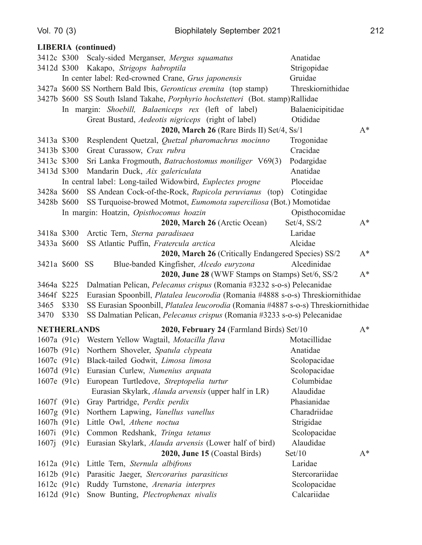|                |                    | <b>LIBERIA</b> (continued)                                                             |                   |       |
|----------------|--------------------|----------------------------------------------------------------------------------------|-------------------|-------|
|                |                    | 3412c \$300 Scaly-sided Merganser, Mergus squamatus                                    | Anatidae          |       |
| 3412d \$300    |                    | Kakapo, Strigops habroptila                                                            | Strigopidae       |       |
|                |                    | In center label: Red-crowned Crane, Grus japonensis                                    | Gruidae           |       |
|                |                    | 3427a \$600 SS Northern Bald Ibis, Geronticus eremita (top stamp)                      | Threskiornithidae |       |
|                |                    | 3427b \$600 SS South Island Takahe, <i>Porphyrio hochstetteri</i> (Bot. stamp)Rallidae |                   |       |
|                |                    | In margin: Shoebill, Balaeniceps rex (left of label)                                   | Balaenicipitidae  |       |
|                |                    | Great Bustard, <i>Aedeotis nigriceps</i> (right of label)                              | Otididae          |       |
|                |                    | 2020, March 26 (Rare Birds II) Set/4, Ss/1                                             |                   | $A^*$ |
| 3413a \$300    |                    | Resplendent Quetzal, Quetzal pharomachrus mocinno                                      | Trogonidae        |       |
| 3413b \$300    |                    | Great Curassow, Crax rubra                                                             | Cracidae          |       |
| 3413c \$300    |                    | Sri Lanka Frogmouth, Batrachostomus moniliger V69(3)                                   | Podargidae        |       |
| 3413d \$300    |                    | Mandarin Duck, Aix galericulata                                                        | Anatidae          |       |
|                |                    | In central label: Long-tailed Widowbird, Euplectes progne                              | Ploceidae         |       |
| 3428a \$600    |                    | SS Andean Cock-of-the-Rock, Rupicola peruvianus (top)                                  | Cotingidae        |       |
| 3428b \$600    |                    | SS Turquoise-browed Motmot, Eumomota superciliosa (Bot.) Momotidae                     |                   |       |
|                |                    | In margin: Hoatzin, Opisthocomus hoazin                                                | Opisthocomidae    |       |
|                |                    | 2020, March 26 (Arctic Ocean)                                                          | Set/4, $SS/2$     | $A^*$ |
| 3418a \$300    |                    | Arctic Tern, Sterna paradisaea                                                         | Laridae           |       |
| 3433a \$600    |                    | SS Atlantic Puffin, Fratercula arctica                                                 | Alcidae           |       |
|                |                    | 2020, March 26 (Critically Endangered Species) SS/2                                    |                   | $A^*$ |
| 3421a \$600    |                    | <b>SS</b><br>Blue-banded Kingfisher, Alcedo euryzona                                   | Alcedinidae       |       |
|                |                    | 2020, June 28 (WWF Stamps on Stamps) Set/6, SS/2                                       |                   | $A^*$ |
| 3464a \$225    |                    | Dalmatian Pelican, Pelecanus crispus (Romania #3232 s-o-s) Pelecanidae                 |                   |       |
| 3464f \$225    |                    | Eurasian Spoonbill, Platalea leucorodia (Romania #4888 s-o-s) Threskiornithidae        |                   |       |
| 3465           | \$330              | SS Eurasian Spoonbill, Platalea leucorodia (Romania #4887 s-o-s) Threskiornithidae     |                   |       |
| 3470           | \$330              | SS Dalmatian Pelican, <i>Pelecanus crispus</i> (Romania #3233 s-o-s) Pelecanidae       |                   |       |
|                | <b>NETHERLANDS</b> | 2020, February 24 (Farmland Birds) Set/10                                              |                   | $A^*$ |
|                |                    | 1607a (91c) Western Yellow Wagtail, Motacilla flava                                    | Motacillidae      |       |
|                |                    | 1607b (91c) Northern Shoveler, Spatula clypeata                                        | Anatidae          |       |
| 1607c $(91c)$  |                    | Black-tailed Godwit, Limosa limosa                                                     | Scolopacidae      |       |
| 1607d $(91c)$  |                    | Eurasian Curlew, Numenius arquata                                                      | Scolopacidae      |       |
| 1607e $(91c)$  |                    | European Turtledove, Streptopelia turtur                                               | Columbidae        |       |
|                |                    | Eurasian Skylark, Alauda arvensis (upper half in LR)                                   | Alaudidae         |       |
| 1607 $f(91c)$  |                    | Gray Partridge, Perdix perdix                                                          | Phasianidae       |       |
| 1607g(91c)     |                    | Northern Lapwing, Vanellus vanellus                                                    | Charadriidae      |       |
| 1607h $(91c)$  |                    | Little Owl, Athene noctua                                                              | Strigidae         |       |
| 1607i(91c)     |                    | Common Redshank, Tringa tetanus                                                        | Scolopacidae      |       |
| $1607$ j (91c) |                    | Eurasian Skylark, <i>Alauda arvensis</i> (Lower half of bird)                          | Alaudidae         |       |
|                |                    | 2020, June 15 (Coastal Birds)                                                          | Set/10            | $A^*$ |
| 1612a(91c)     |                    | Little Tern, Sternula albifrons                                                        | Laridae           |       |
| 1612b(91c)     |                    | Parasitic Jaeger, Stercorarius parasiticus                                             | Stercorariidae    |       |
| 1612c(91c)     |                    | Ruddy Turnstone, Arenaria interpres                                                    | Scolopacidae      |       |
| 1612d $(91c)$  |                    | Snow Bunting, Plectrophenax nivalis                                                    | Calcariidae       |       |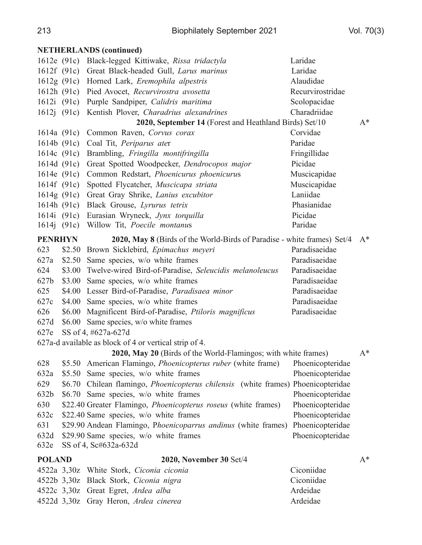|                | <b>NETHERLANDS</b> (continued)                                                    |                  |       |
|----------------|-----------------------------------------------------------------------------------|------------------|-------|
|                | 1612e (91c) Black-legged Kittiwake, Rissa tridactyla                              | Laridae          |       |
|                | 1612f (91c) Great Black-headed Gull, Larus marinus                                | Laridae          |       |
|                | 1612g (91c) Horned Lark, Eremophila alpestris                                     | Alaudidae        |       |
|                | 1612h (91c) Pied Avocet, Recurvirostra avosetta                                   | Recurvirostridae |       |
|                | 1612i (91c) Purple Sandpiper, Calidris maritima                                   | Scolopacidae     |       |
|                | 1612j (91c) Kentish Plover, Charadrius alexandrines                               | Charadriidae     |       |
|                | 2020, September 14 (Forest and Heathland Birds) Set/10                            |                  | $A^*$ |
| 1614a(91c)     | Common Raven, Corvus corax                                                        | Corvidae         |       |
|                | 1614b (91c) Coal Tit, Periparus ater                                              | Paridae          |       |
| 1614c (91c)    | Brambling, Fringilla montifringilla                                               | Fringillidae     |       |
|                | 1614d (91c) Great Spotted Woodpecker, Dendrocopos major                           | Picidae          |       |
|                | 1614e (91c) Common Redstart, Phoenicurus phoenicurus                              | Muscicapidae     |       |
|                | 1614f (91c) Spotted Flycatcher, Muscicapa striata                                 | Muscicapidae     |       |
| 1614g (91c)    | Great Gray Shrike, Lanius excubitor                                               | Laniidae         |       |
|                | 1614h (91c) Black Grouse, Lyrurus tetrix                                          | Phasianidae      |       |
| 1614i(91c)     | Eurasian Wryneck, Jynx torquilla                                                  | Picidae          |       |
| 1614j (91c)    | Willow Tit, Poecile montanus                                                      | Paridae          |       |
| <b>PENRHYN</b> | 2020, May 8 (Birds of the World-Birds of Paradise - white frames) Set/4           |                  | $A^*$ |
| 623            | \$2.50 Brown Sicklebird, Epimachus meyeri                                         | Paradisaeidae    |       |
| 627a           | \$2.50 Same species, w/o white frames                                             | Paradisaeidae    |       |
| 624            | \$3.00 Twelve-wired Bird-of-Paradise, Seleucidis melanoleucus                     | Paradisaeidae    |       |
| 627b           | \$3.00 Same species, w/o white frames                                             | Paradisaeidae    |       |
| 625            | \$4.00 Lesser Bird-of-Paradise, Paradisaea minor                                  | Paradisaeidae    |       |
| 627c           | \$4.00 Same species, w/o white frames                                             | Paradisaeidae    |       |
| 626            | \$6.00 Magnificent Bird-of-Paradise, Ptiloris magnificus                          | Paradisaeidae    |       |
| 627d           | \$6.00 Same species, w/o white frames                                             |                  |       |
| 627e           | SS of 4, #627a-627d                                                               |                  |       |
|                | 627a-d available as block of 4 or vertical strip of 4.                            |                  |       |
|                | 2020, May 20 (Birds of the World-Flamingos; with white frames)                    |                  | $A^*$ |
| 628            | \$5.50 American Flamingo, Phoenicopterus ruber (white frame)                      | Phoenicopteridae |       |
| 632a           | \$5.50 Same species, w/o white frames                                             | Phoenicopteridae |       |
| 629            | \$6.70 Chilean flamingo, Phoenicopterus chilensis (white frames) Phoenicopteridae |                  |       |
| 632b           | \$6.70 Same species, w/o white frames                                             | Phoenicopteridae |       |
| 630            | \$22.40 Greater Flamingo, Phoenicopterus roseus (white frames)                    | Phoenicopteridae |       |
| 632c           | \$22.40 Same species, w/o white frames                                            | Phoenicopteridae |       |
| 631            | \$29.90 Andean Flamingo, Phoenicoparrus andinus (white frames)                    | Phoenicopteridae |       |
| 632d           | \$29.90 Same species, w/o white frames                                            | Phoenicopteridae |       |
| 632e           | SS of 4, Sc#632a-632d                                                             |                  |       |
| <b>POLAND</b>  | 2020, November 30 Set/4                                                           |                  | $A^*$ |
|                | 4522a 3,30z White Stork, Ciconia ciconia                                          | Ciconiidae       |       |
|                | 4522b 3,30z Black Stork, Ciconia nigra                                            | Ciconiidae       |       |
|                | 4522c 3,30z Great Egret, Ardea alba                                               | Ardeidae         |       |
|                | 4522d 3,30z Gray Heron, Ardea cinerea                                             | Ardeidae         |       |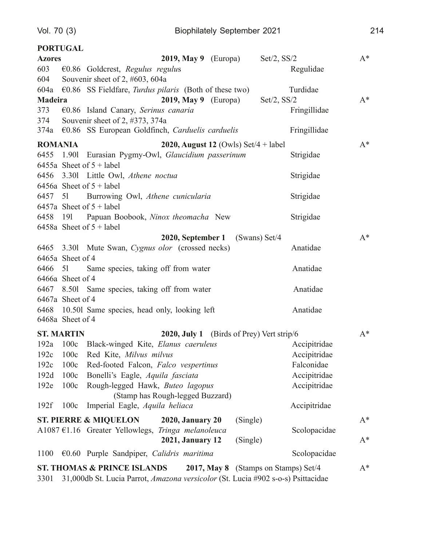# **PORTUGAL Azores**

| <b>Azores</b>                                                                      |                   | 2019, May 9 $(Europa)$                                                                | Set/2, SS/2     |              | $A^*$          |
|------------------------------------------------------------------------------------|-------------------|---------------------------------------------------------------------------------------|-----------------|--------------|----------------|
| 603                                                                                |                   | €0.86 Goldcrest, Regulus regulus                                                      |                 | Regulidae    |                |
| 604                                                                                |                   | Souvenir sheet of 2, #603, 604a                                                       |                 |              |                |
|                                                                                    |                   | 604a $\epsilon$ 0.86 SS Fieldfare, <i>Turdus pilaris</i> (Both of these two)          |                 | Turdidae     |                |
| <b>Madeira</b>                                                                     |                   | 2019, May 9 $(Europa)$                                                                | Set/2, SS/2     |              | $A^*$          |
|                                                                                    |                   | 373 €0.86 Island Canary, Serinus canaria                                              |                 | Fringillidae |                |
| 374                                                                                |                   | Souvenir sheet of 2, #373, 374a                                                       |                 |              |                |
|                                                                                    |                   | 374a €0.86 SS European Goldfinch, Carduelis carduelis                                 |                 | Fringillidae |                |
| <b>ROMANIA</b>                                                                     |                   | 2020, August 12 (Owls) Set/4 + label                                                  |                 |              | $A^*$          |
|                                                                                    |                   | 6455 1.901 Eurasian Pygmy-Owl, Glaucidium passerinum                                  |                 | Strigidae    |                |
|                                                                                    |                   | 6455a Sheet of $5 +$ label                                                            |                 |              |                |
|                                                                                    |                   | 6456 3.301 Little Owl, Athene noctua                                                  |                 | Strigidae    |                |
|                                                                                    |                   | 6456a Sheet of $5 +$ label                                                            |                 |              |                |
|                                                                                    |                   | 6457 51 Burrowing Owl, Athene cunicularia                                             |                 | Strigidae    |                |
|                                                                                    |                   | 6457a Sheet of $5 +$ label                                                            |                 |              |                |
|                                                                                    |                   | 6458 191 Papuan Boobook, Ninox theomacha New                                          |                 | Strigidae    |                |
|                                                                                    |                   | 6458a Sheet of $5 +$ label                                                            |                 |              |                |
|                                                                                    |                   | 2020, September 1                                                                     | $(Swans)$ Set/4 |              | $A^*$          |
|                                                                                    |                   | 6465 3.301 Mute Swan, Cygnus olor (crossed necks)                                     |                 | Anatidae     |                |
|                                                                                    | 6465a Sheet of 4  |                                                                                       |                 |              |                |
| 6466 51                                                                            |                   | Same species, taking off from water                                                   |                 | Anatidae     |                |
|                                                                                    | 6466a Sheet of 4  |                                                                                       |                 |              |                |
|                                                                                    |                   | 6467 8.501 Same species, taking off from water                                        |                 | Anatidae     |                |
|                                                                                    | 6467a Sheet of 4  |                                                                                       |                 |              |                |
|                                                                                    |                   | 6468 10.501 Same species, head only, looking left                                     |                 | Anatidae     |                |
|                                                                                    | 6468a Sheet of 4  |                                                                                       |                 |              |                |
|                                                                                    | <b>ST. MARTIN</b> | 2020, July 1 (Birds of Prey) Vert strip/6                                             |                 |              | $A^*$          |
|                                                                                    |                   | 192a 100c Black-winged Kite, Elanus caeruleus                                         |                 | Accipitridae |                |
|                                                                                    |                   | 192c 100c Red Kite, Milvus milvus                                                     |                 | Accipitridae |                |
| 192c                                                                               | 100c              | Red-footed Falcon, Falco vespertinus                                                  |                 | Falconidae   |                |
| 192d                                                                               | 100c              | Bonelli's Eagle, Aquila fasciata                                                      |                 | Accipitridae |                |
| 192e                                                                               | 100c              | Rough-legged Hawk, Buteo lagopus                                                      |                 | Accipitridae |                |
|                                                                                    |                   | (Stamp has Rough-legged Buzzard)                                                      |                 |              |                |
| 192f                                                                               | 100c              | Imperial Eagle, Aquila heliaca                                                        |                 | Accipitridae |                |
|                                                                                    |                   | <b>ST. PIERRE &amp; MIQUELON</b><br>(Single)<br><b>2020, January 20</b>               |                 |              | $A^*$          |
|                                                                                    |                   | A1087 $E1.16$ Greater Yellowlegs,<br>Tringa melanoleuca                               |                 | Scolopacidae |                |
|                                                                                    |                   | <b>2021, January 12</b><br>(Single)                                                   |                 |              | $\mathbf{A}^*$ |
| 1100                                                                               |                   | $€0.60$ Purple Sandpiper, Calidris maritima                                           |                 | Scolopacidae |                |
|                                                                                    |                   | <b>ST. THOMAS &amp; PRINCE ISLANDS</b><br><b>2017, May 8</b> (Stamps on Stamps) Set/4 |                 |              | $A^*$          |
| 2201 21 000db St Lucio Porrot Amazona varsicolor (St Lucio #002 s.o.s) Psittogidoo |                   |                                                                                       |                 |              |                |

3301 31,000db St. Lucia Parrot, *Amazona versicolor* (St. Lucia #902 s-o-s) Psittacidae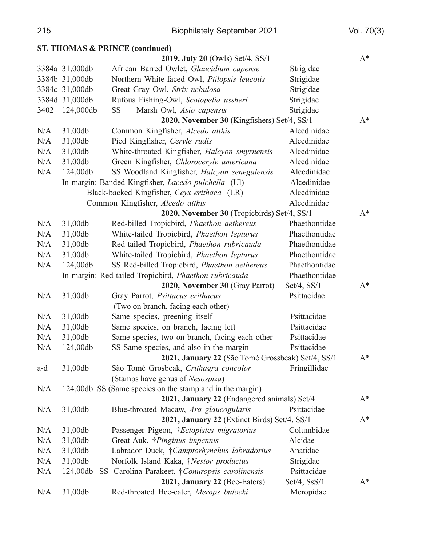|      |                | <b>ST. THOMAS &amp; PRINCE (continued)</b>                |                  |       |
|------|----------------|-----------------------------------------------------------|------------------|-------|
|      |                | 2019, July 20 (Owls) Set/4, SS/1                          |                  | $A^*$ |
|      | 3384a 31,000db | African Barred Owlet, Glaucidium capense                  | Strigidae        |       |
|      | 3384b 31,000db | Northern White-faced Owl, Ptilopsis leucotis              | Strigidae        |       |
|      | 3384c 31,000db | Great Gray Owl, Strix nebulosa                            | Strigidae        |       |
|      | 3384d 31,000db | Rufous Fishing-Owl, Scotopelia ussheri                    | Strigidae        |       |
| 3402 | 124,000db      | <b>SS</b><br>Marsh Owl, Asio capensis                     | Strigidae        |       |
|      |                | 2020, November 30 (Kingfishers) Set/4, SS/1               |                  | $A^*$ |
| N/A  | 31,00db        | Common Kingfisher, Alcedo atthis                          | Alcedinidae      |       |
| N/A  | 31,00db        | Pied Kingfisher, Ceryle rudis                             | Alcedinidae      |       |
| N/A  | 31,00db        | White-throated Kingfisher, Halcyon smyrnensis             | Alcedinidae      |       |
| N/A  | 31,00db        | Green Kingfisher, Chloroceryle americana                  | Alcedinidae      |       |
| N/A  | 124,00db       | SS Woodland Kingfisher, Halcyon senegalensis              | Alcedinidae      |       |
|      |                | In margin: Banded Kingfisher, Lacedo pulchella (Ul)       | Alcedinidae      |       |
|      |                | Black-backed Kingfisher, Ceyx erithaca (LR)               | Alcedinidae      |       |
|      |                | Common Kingfisher, Alcedo atthis                          | Alcedinidae      |       |
|      |                | 2020, November 30 (Tropicbirds) Set/4, SS/1               |                  | $A^*$ |
| N/A  | 31,00db        | Red-billed Tropicbird, Phaethon aethereus                 | Phaethontidae    |       |
| N/A  | 31,00db        | White-tailed Tropicbird, Phaethon lepturus                | Phaethontidae    |       |
| N/A  | 31,00db        | Red-tailed Tropicbird, Phaethon rubricauda                | Phaethontidae    |       |
| N/A  | 31,00db        | White-tailed Tropicbird, Phaethon lepturus                | Phaethontidae    |       |
| N/A  | 124,00db       | SS Red-billed Tropicbird, Phaethon aethereus              | Phaethontidae    |       |
|      |                | In margin: Red-tailed Tropicbird, Phaethon rubricauda     | Phaethontidae    |       |
|      |                | 2020, November 30 (Gray Parrot)                           | $Set/4$ , $SS/1$ | $A^*$ |
| N/A  | 31,00db        | Gray Parrot, Psittacus erithacus                          | Psittacidae      |       |
|      |                | (Two on branch, facing each other)                        |                  |       |
| N/A  | 31,00db        | Same species, preening itself                             | Psittacidae      |       |
| N/A  | 31,00db        | Same species, on branch, facing left                      | Psittacidae      |       |
| N/A  | 31,00db        | Same species, two on branch, facing each other            | Psittacidae      |       |
| N/A  | 124,00db       | SS Same species, and also in the margin                   | Psittacidae      |       |
|      |                | 2021, January 22 (São Tomé Grossbeak) Set/4, SS/1         |                  | $A^*$ |
| a-d  | 31,00db        | São Tomé Grosbeak, Crithagra concolor                     | Fringillidae     |       |
|      |                | (Stamps have genus of Nesospiza)                          |                  |       |
| N/A  |                | 124,00db SS (Same species on the stamp and in the margin) |                  |       |
|      |                | 2021, January 22 (Endangered animals) Set/4               |                  | $A^*$ |
| N/A  | 31,00db        | Blue-throated Macaw, Ara glaucogularis                    | Psittacidae      |       |
|      |                | 2021, January 22 (Extinct Birds) Set/4, SS/1              |                  | $A^*$ |
| N/A  | 31,00db        | Passenger Pigeon, † <i>Ectopistes migratorius</i>         | Columbidae       |       |
| N/A  | 31,00db        | Great Auk, † <i>Pinginus impennis</i>                     | Alcidae          |       |
| N/A  | 31,00db        | Labrador Duck, †Camptorhynchus labradorius                | Anatidae         |       |
| N/A  | 31,00db        | Norfolk Island Kaka, <i>†Nestor productus</i>             | Strigidae        |       |
| N/A  | 124,00db       | SS Carolina Parakeet, †Conuropsis carolinensis            | Psittacidae      |       |
|      |                | 2021, January 22 (Bee-Eaters)                             | Set/4, SsS/1     | $A^*$ |
| N/A  | 31,00db        | Red-throated Bee-eater, Merops bulocki                    | Meropidae        |       |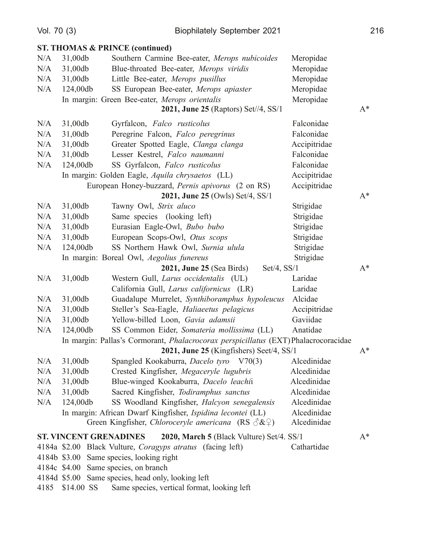|      | Vol. 70 (3)                   | <b>Biophilately September 2021</b>                                                         |              | 216   |
|------|-------------------------------|--------------------------------------------------------------------------------------------|--------------|-------|
|      |                               | <b>ST. THOMAS &amp; PRINCE (continued)</b>                                                 |              |       |
| N/A  | 31,00db                       | Southern Carmine Bee-eater, Merops nubicoides                                              | Meropidae    |       |
| N/A  | 31,00db                       | Blue-throated Bee-eater, Merops viridis                                                    | Meropidae    |       |
| N/A  | 31,00db                       | Little Bee-eater, Merops pusillus                                                          | Meropidae    |       |
| N/A  | 124,00db                      | SS European Bee-eater, Merops apiaster                                                     | Meropidae    |       |
|      |                               | In margin: Green Bee-eater, Merops orientalis                                              | Meropidae    |       |
|      |                               | 2021, June 25 (Raptors) Set//4, SS/1                                                       |              | $A^*$ |
| N/A  | 31,00db                       | Gyrfalcon, Falco rusticolus                                                                | Falconidae   |       |
| N/A  | 31,00db                       | Peregrine Falcon, Falco peregrinus                                                         | Falconidae   |       |
| N/A  | 31,00db                       | Greater Spotted Eagle, Clanga clanga                                                       | Accipitridae |       |
| N/A  | 31,00db                       | Lesser Kestrel, Falco naumanni                                                             | Falconidae   |       |
| N/A  | 124,00db                      | SS Gyrfalcon, Falco rusticolus                                                             | Falconidae   |       |
|      |                               | In margin: Golden Eagle, Aquila chrysaetos (LL)                                            | Accipitridae |       |
|      |                               | European Honey-buzzard, Pernis apivorus (2 on RS)                                          | Accipitridae |       |
|      |                               | 2021, June 25 (Owls) Set/4, SS/1                                                           |              | $A^*$ |
| N/A  | 31,00db                       | Tawny Owl, Strix aluco                                                                     | Strigidae    |       |
| N/A  | 31,00db                       | Same species (looking left)                                                                | Strigidae    |       |
| N/A  | 31,00db                       | Eurasian Eagle-Owl, Bubo bubo                                                              | Strigidae    |       |
| N/A  | 31,00db                       | European Scops-Owl, Otus scops                                                             | Strigidae    |       |
| N/A  | 124,00db                      | SS Northern Hawk Owl, Surnia ulula                                                         | Strigidae    |       |
|      |                               | In margin: Boreal Owl, Aegolius funereus                                                   | Strigidae    |       |
|      |                               | <b>2021, June 25 (Sea Birds)</b><br>Set/4, SS/1                                            |              | $A^*$ |
| N/A  | 31,00db                       | Western Gull, Larus occidentalis (UL)                                                      | Laridae      |       |
|      |                               | California Gull, Larus californicus (LR)                                                   | Laridae      |       |
| N/A  | 31,00db                       | Guadalupe Murrelet, Synthiboramphus hypoleucus                                             | Alcidae      |       |
| N/A  | 31,00db                       | Steller's Sea-Eagle, Haliaeetus pelagicus                                                  | Accipitridae |       |
| N/A  | 31,00db                       | Yellow-billed Loon, Gavia adamsii                                                          | Gaviidae     |       |
| N/A  | 124,00db                      | SS Common Eider, Somateria mollissima (LL)                                                 | Anatidae     |       |
|      |                               | In margin: Pallas's Cormorant, <i>Phalacrocorax perspicillatus</i> (EXT) Phalacrocoracidae |              |       |
|      |                               | 2021, June 25 (Kingfishers) Seet/4, SS/1                                                   |              | $A^*$ |
| N/A  | 31,00db                       | Spangled Kookaburra, Dacelo tyro V70(3)                                                    | Alcedinidae  |       |
| N/A  | 31,00db                       | Crested Kingfisher, Megaceryle lugubris                                                    | Alcedinidae  |       |
| N/A  | 31,00db                       | Blue-winged Kookaburra, Dacelo leachii                                                     | Alcedinidae  |       |
| N/A  | 31,00db                       | Sacred Kingfisher, Todiramphus sanctus                                                     | Alcedinidae  |       |
| N/A  | 124,00db                      | SS Woodland Kingfisher, Halcyon senegalensis                                               | Alcedinidae  |       |
|      |                               | In margin: African Dwarf Kingfisher, Ispidina lecontei (LL)                                | Alcedinidae  |       |
|      |                               | Green Kingfisher, Chloroceryle americana (RS $\Im\&\mathcal{Q}$ )                          | Alcedinidae  |       |
|      | <b>ST. VINCENT GRENADINES</b> | 2020, March 5 (Black Vulture) Set/4. SS/1                                                  |              | $A^*$ |
|      |                               | 4184a \$2.00 Black Vulture, Coragyps atratus (facing left)                                 | Cathartidae  |       |
|      |                               | 4184b \$3.00 Same species, looking right                                                   |              |       |
|      |                               | 4184c \$4.00 Same species, on branch                                                       |              |       |
|      |                               | 4184d \$5.00 Same species, head only, looking left                                         |              |       |
| 4185 | \$14.00 SS                    | Same species, vertical format, looking left                                                |              |       |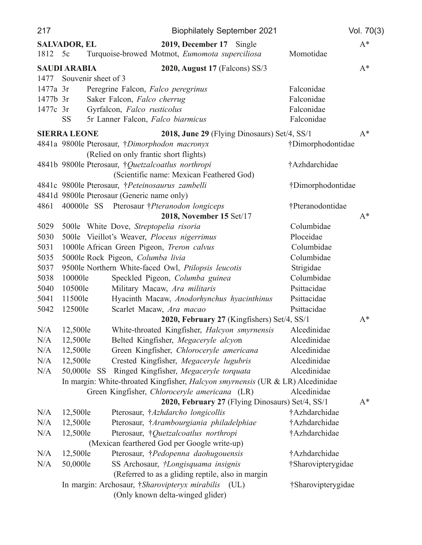| $A^*$<br><b>SALVADOR, EL</b><br>2019, December 17 Single<br>1812 5c<br>Turquoise-browed Motmot, Eumomota superciliosa<br>Momotidae<br><b>SAUDI ARABIA</b><br>2020, August 17 (Falcons) SS/3<br>$A^*$<br>Souvenir sheet of 3<br>1477<br>1477a 3r<br>Peregrine Falcon, Falco peregrinus<br>Falconidae<br>Falconidae<br>1477b 3r<br>Saker Falcon, Falco cherrug<br>Falconidae<br>Gyrfalcon, Falco rusticolus<br>1477c 3r<br><b>SS</b><br>Falconidae<br>5r Lanner Falcon, Falco biarmicus<br><b>SIERRA LEONE</b><br>2018, June 29 (Flying Dinosaurs) Set/4, SS/1<br>$A^*$<br>4841a 9800le Pterosaur, †Dimorphodon macronyx<br>†Dimorphodontidae<br>(Relied on only frantic short flights)<br>4841b 9800le Pterosaur, †Quetzalcoatlus northropi<br>†Azhdarchidae<br>(Scientific name: Mexican Feathered God)<br>4841c 9800le Pterosaur, †Peteinosaurus zambelli<br>†Dimorphodontidae<br>4841d 9800le Pterosaur (Generic name only)<br>4861<br>400001e SS Pterosaur † Pteranodon longiceps<br>†Pteranodontidae<br>2018, November 15 Set/17<br>$A^*$<br>Columbidae<br>5029<br>500le White Dove, Streptopelia risoria<br>Ploceidae<br>5030<br>500le Vieillot's Weaver, Ploceus nigerrimus<br>5031<br>1000le African Green Pigeon, Treron calvus<br>Columbidae<br>5035<br>5000le Rock Pigeon, Columba livia<br>Columbidae<br>9500le Northern White-faced Owl, Ptilopsis leucotis<br>Strigidae<br>5037<br>Columbidae<br>5038<br>10000le<br>Speckled Pigeon, Columba guinea<br>Psittacidae<br>5040<br>10500le<br>Military Macaw, Ara militaris<br>Psittacidae<br>5041<br>11500le<br>Hyacinth Macaw, Anodorhynchus hyacinthinus<br>5042<br>12500le<br>Scarlet Macaw, Ara macao<br>Psittacidae<br>2020, February 27 (Kingfishers) Set/4, SS/1<br>$A^*$<br>White-throated Kingfisher, Halcyon smyrnensis<br>12,500le<br>Alcedinidae<br>N/A<br>N/A<br>12,500le<br>Belted Kingfisher, Megaceryle alcyon<br>Alcedinidae<br>N/A<br>12,500le<br>Green Kingfisher, Chloroceryle americana<br>Alcedinidae<br>Alcedinidae<br>N/A<br>12,500le<br>Crested Kingfisher, Megaceryle lugubris<br>Ringed Kingfisher, Megaceryle torquata<br>Alcedinidae<br>N/A<br>50,000le<br>-SS<br>In margin: White-throated Kingfisher, Halcyon smyrnensis (UR & LR) Alcedinidae<br>Green Kingfisher, Chloroceryle americana (LR)<br>Alcedinidae | 217 | <b>Biophilately September 2021</b> | Vol. 70(3) |
|--------------------------------------------------------------------------------------------------------------------------------------------------------------------------------------------------------------------------------------------------------------------------------------------------------------------------------------------------------------------------------------------------------------------------------------------------------------------------------------------------------------------------------------------------------------------------------------------------------------------------------------------------------------------------------------------------------------------------------------------------------------------------------------------------------------------------------------------------------------------------------------------------------------------------------------------------------------------------------------------------------------------------------------------------------------------------------------------------------------------------------------------------------------------------------------------------------------------------------------------------------------------------------------------------------------------------------------------------------------------------------------------------------------------------------------------------------------------------------------------------------------------------------------------------------------------------------------------------------------------------------------------------------------------------------------------------------------------------------------------------------------------------------------------------------------------------------------------------------------------------------------------------------------------------------------------------------------------------------------------------------------------------------------------------------------------------------------------------------------------------------------------------------------------------------------------------------------------------------------------------------------------------------------------------------|-----|------------------------------------|------------|
|                                                                                                                                                                                                                                                                                                                                                                                                                                                                                                                                                                                                                                                                                                                                                                                                                                                                                                                                                                                                                                                                                                                                                                                                                                                                                                                                                                                                                                                                                                                                                                                                                                                                                                                                                                                                                                                                                                                                                                                                                                                                                                                                                                                                                                                                                                        |     |                                    |            |
|                                                                                                                                                                                                                                                                                                                                                                                                                                                                                                                                                                                                                                                                                                                                                                                                                                                                                                                                                                                                                                                                                                                                                                                                                                                                                                                                                                                                                                                                                                                                                                                                                                                                                                                                                                                                                                                                                                                                                                                                                                                                                                                                                                                                                                                                                                        |     |                                    |            |
|                                                                                                                                                                                                                                                                                                                                                                                                                                                                                                                                                                                                                                                                                                                                                                                                                                                                                                                                                                                                                                                                                                                                                                                                                                                                                                                                                                                                                                                                                                                                                                                                                                                                                                                                                                                                                                                                                                                                                                                                                                                                                                                                                                                                                                                                                                        |     |                                    |            |
|                                                                                                                                                                                                                                                                                                                                                                                                                                                                                                                                                                                                                                                                                                                                                                                                                                                                                                                                                                                                                                                                                                                                                                                                                                                                                                                                                                                                                                                                                                                                                                                                                                                                                                                                                                                                                                                                                                                                                                                                                                                                                                                                                                                                                                                                                                        |     |                                    |            |
|                                                                                                                                                                                                                                                                                                                                                                                                                                                                                                                                                                                                                                                                                                                                                                                                                                                                                                                                                                                                                                                                                                                                                                                                                                                                                                                                                                                                                                                                                                                                                                                                                                                                                                                                                                                                                                                                                                                                                                                                                                                                                                                                                                                                                                                                                                        |     |                                    |            |
|                                                                                                                                                                                                                                                                                                                                                                                                                                                                                                                                                                                                                                                                                                                                                                                                                                                                                                                                                                                                                                                                                                                                                                                                                                                                                                                                                                                                                                                                                                                                                                                                                                                                                                                                                                                                                                                                                                                                                                                                                                                                                                                                                                                                                                                                                                        |     |                                    |            |
|                                                                                                                                                                                                                                                                                                                                                                                                                                                                                                                                                                                                                                                                                                                                                                                                                                                                                                                                                                                                                                                                                                                                                                                                                                                                                                                                                                                                                                                                                                                                                                                                                                                                                                                                                                                                                                                                                                                                                                                                                                                                                                                                                                                                                                                                                                        |     |                                    |            |
|                                                                                                                                                                                                                                                                                                                                                                                                                                                                                                                                                                                                                                                                                                                                                                                                                                                                                                                                                                                                                                                                                                                                                                                                                                                                                                                                                                                                                                                                                                                                                                                                                                                                                                                                                                                                                                                                                                                                                                                                                                                                                                                                                                                                                                                                                                        |     |                                    |            |
|                                                                                                                                                                                                                                                                                                                                                                                                                                                                                                                                                                                                                                                                                                                                                                                                                                                                                                                                                                                                                                                                                                                                                                                                                                                                                                                                                                                                                                                                                                                                                                                                                                                                                                                                                                                                                                                                                                                                                                                                                                                                                                                                                                                                                                                                                                        |     |                                    |            |
|                                                                                                                                                                                                                                                                                                                                                                                                                                                                                                                                                                                                                                                                                                                                                                                                                                                                                                                                                                                                                                                                                                                                                                                                                                                                                                                                                                                                                                                                                                                                                                                                                                                                                                                                                                                                                                                                                                                                                                                                                                                                                                                                                                                                                                                                                                        |     |                                    |            |
|                                                                                                                                                                                                                                                                                                                                                                                                                                                                                                                                                                                                                                                                                                                                                                                                                                                                                                                                                                                                                                                                                                                                                                                                                                                                                                                                                                                                                                                                                                                                                                                                                                                                                                                                                                                                                                                                                                                                                                                                                                                                                                                                                                                                                                                                                                        |     |                                    |            |
|                                                                                                                                                                                                                                                                                                                                                                                                                                                                                                                                                                                                                                                                                                                                                                                                                                                                                                                                                                                                                                                                                                                                                                                                                                                                                                                                                                                                                                                                                                                                                                                                                                                                                                                                                                                                                                                                                                                                                                                                                                                                                                                                                                                                                                                                                                        |     |                                    |            |
|                                                                                                                                                                                                                                                                                                                                                                                                                                                                                                                                                                                                                                                                                                                                                                                                                                                                                                                                                                                                                                                                                                                                                                                                                                                                                                                                                                                                                                                                                                                                                                                                                                                                                                                                                                                                                                                                                                                                                                                                                                                                                                                                                                                                                                                                                                        |     |                                    |            |
|                                                                                                                                                                                                                                                                                                                                                                                                                                                                                                                                                                                                                                                                                                                                                                                                                                                                                                                                                                                                                                                                                                                                                                                                                                                                                                                                                                                                                                                                                                                                                                                                                                                                                                                                                                                                                                                                                                                                                                                                                                                                                                                                                                                                                                                                                                        |     |                                    |            |
|                                                                                                                                                                                                                                                                                                                                                                                                                                                                                                                                                                                                                                                                                                                                                                                                                                                                                                                                                                                                                                                                                                                                                                                                                                                                                                                                                                                                                                                                                                                                                                                                                                                                                                                                                                                                                                                                                                                                                                                                                                                                                                                                                                                                                                                                                                        |     |                                    |            |
|                                                                                                                                                                                                                                                                                                                                                                                                                                                                                                                                                                                                                                                                                                                                                                                                                                                                                                                                                                                                                                                                                                                                                                                                                                                                                                                                                                                                                                                                                                                                                                                                                                                                                                                                                                                                                                                                                                                                                                                                                                                                                                                                                                                                                                                                                                        |     |                                    |            |
|                                                                                                                                                                                                                                                                                                                                                                                                                                                                                                                                                                                                                                                                                                                                                                                                                                                                                                                                                                                                                                                                                                                                                                                                                                                                                                                                                                                                                                                                                                                                                                                                                                                                                                                                                                                                                                                                                                                                                                                                                                                                                                                                                                                                                                                                                                        |     |                                    |            |
|                                                                                                                                                                                                                                                                                                                                                                                                                                                                                                                                                                                                                                                                                                                                                                                                                                                                                                                                                                                                                                                                                                                                                                                                                                                                                                                                                                                                                                                                                                                                                                                                                                                                                                                                                                                                                                                                                                                                                                                                                                                                                                                                                                                                                                                                                                        |     |                                    |            |
|                                                                                                                                                                                                                                                                                                                                                                                                                                                                                                                                                                                                                                                                                                                                                                                                                                                                                                                                                                                                                                                                                                                                                                                                                                                                                                                                                                                                                                                                                                                                                                                                                                                                                                                                                                                                                                                                                                                                                                                                                                                                                                                                                                                                                                                                                                        |     |                                    |            |
|                                                                                                                                                                                                                                                                                                                                                                                                                                                                                                                                                                                                                                                                                                                                                                                                                                                                                                                                                                                                                                                                                                                                                                                                                                                                                                                                                                                                                                                                                                                                                                                                                                                                                                                                                                                                                                                                                                                                                                                                                                                                                                                                                                                                                                                                                                        |     |                                    |            |
|                                                                                                                                                                                                                                                                                                                                                                                                                                                                                                                                                                                                                                                                                                                                                                                                                                                                                                                                                                                                                                                                                                                                                                                                                                                                                                                                                                                                                                                                                                                                                                                                                                                                                                                                                                                                                                                                                                                                                                                                                                                                                                                                                                                                                                                                                                        |     |                                    |            |
|                                                                                                                                                                                                                                                                                                                                                                                                                                                                                                                                                                                                                                                                                                                                                                                                                                                                                                                                                                                                                                                                                                                                                                                                                                                                                                                                                                                                                                                                                                                                                                                                                                                                                                                                                                                                                                                                                                                                                                                                                                                                                                                                                                                                                                                                                                        |     |                                    |            |
|                                                                                                                                                                                                                                                                                                                                                                                                                                                                                                                                                                                                                                                                                                                                                                                                                                                                                                                                                                                                                                                                                                                                                                                                                                                                                                                                                                                                                                                                                                                                                                                                                                                                                                                                                                                                                                                                                                                                                                                                                                                                                                                                                                                                                                                                                                        |     |                                    |            |
|                                                                                                                                                                                                                                                                                                                                                                                                                                                                                                                                                                                                                                                                                                                                                                                                                                                                                                                                                                                                                                                                                                                                                                                                                                                                                                                                                                                                                                                                                                                                                                                                                                                                                                                                                                                                                                                                                                                                                                                                                                                                                                                                                                                                                                                                                                        |     |                                    |            |
|                                                                                                                                                                                                                                                                                                                                                                                                                                                                                                                                                                                                                                                                                                                                                                                                                                                                                                                                                                                                                                                                                                                                                                                                                                                                                                                                                                                                                                                                                                                                                                                                                                                                                                                                                                                                                                                                                                                                                                                                                                                                                                                                                                                                                                                                                                        |     |                                    |            |
|                                                                                                                                                                                                                                                                                                                                                                                                                                                                                                                                                                                                                                                                                                                                                                                                                                                                                                                                                                                                                                                                                                                                                                                                                                                                                                                                                                                                                                                                                                                                                                                                                                                                                                                                                                                                                                                                                                                                                                                                                                                                                                                                                                                                                                                                                                        |     |                                    |            |
|                                                                                                                                                                                                                                                                                                                                                                                                                                                                                                                                                                                                                                                                                                                                                                                                                                                                                                                                                                                                                                                                                                                                                                                                                                                                                                                                                                                                                                                                                                                                                                                                                                                                                                                                                                                                                                                                                                                                                                                                                                                                                                                                                                                                                                                                                                        |     |                                    |            |
|                                                                                                                                                                                                                                                                                                                                                                                                                                                                                                                                                                                                                                                                                                                                                                                                                                                                                                                                                                                                                                                                                                                                                                                                                                                                                                                                                                                                                                                                                                                                                                                                                                                                                                                                                                                                                                                                                                                                                                                                                                                                                                                                                                                                                                                                                                        |     |                                    |            |
|                                                                                                                                                                                                                                                                                                                                                                                                                                                                                                                                                                                                                                                                                                                                                                                                                                                                                                                                                                                                                                                                                                                                                                                                                                                                                                                                                                                                                                                                                                                                                                                                                                                                                                                                                                                                                                                                                                                                                                                                                                                                                                                                                                                                                                                                                                        |     |                                    |            |
|                                                                                                                                                                                                                                                                                                                                                                                                                                                                                                                                                                                                                                                                                                                                                                                                                                                                                                                                                                                                                                                                                                                                                                                                                                                                                                                                                                                                                                                                                                                                                                                                                                                                                                                                                                                                                                                                                                                                                                                                                                                                                                                                                                                                                                                                                                        |     |                                    |            |
|                                                                                                                                                                                                                                                                                                                                                                                                                                                                                                                                                                                                                                                                                                                                                                                                                                                                                                                                                                                                                                                                                                                                                                                                                                                                                                                                                                                                                                                                                                                                                                                                                                                                                                                                                                                                                                                                                                                                                                                                                                                                                                                                                                                                                                                                                                        |     |                                    |            |
|                                                                                                                                                                                                                                                                                                                                                                                                                                                                                                                                                                                                                                                                                                                                                                                                                                                                                                                                                                                                                                                                                                                                                                                                                                                                                                                                                                                                                                                                                                                                                                                                                                                                                                                                                                                                                                                                                                                                                                                                                                                                                                                                                                                                                                                                                                        |     |                                    |            |
|                                                                                                                                                                                                                                                                                                                                                                                                                                                                                                                                                                                                                                                                                                                                                                                                                                                                                                                                                                                                                                                                                                                                                                                                                                                                                                                                                                                                                                                                                                                                                                                                                                                                                                                                                                                                                                                                                                                                                                                                                                                                                                                                                                                                                                                                                                        |     |                                    |            |
|                                                                                                                                                                                                                                                                                                                                                                                                                                                                                                                                                                                                                                                                                                                                                                                                                                                                                                                                                                                                                                                                                                                                                                                                                                                                                                                                                                                                                                                                                                                                                                                                                                                                                                                                                                                                                                                                                                                                                                                                                                                                                                                                                                                                                                                                                                        |     |                                    |            |
| 2020, February 27 (Flying Dinosaurs) Set/4, SS/1<br>$A^*$                                                                                                                                                                                                                                                                                                                                                                                                                                                                                                                                                                                                                                                                                                                                                                                                                                                                                                                                                                                                                                                                                                                                                                                                                                                                                                                                                                                                                                                                                                                                                                                                                                                                                                                                                                                                                                                                                                                                                                                                                                                                                                                                                                                                                                              |     |                                    |            |
| N/A<br>12,500le<br>Pterosaur, †Azhdarcho longicollis<br>†Azhdarchidae                                                                                                                                                                                                                                                                                                                                                                                                                                                                                                                                                                                                                                                                                                                                                                                                                                                                                                                                                                                                                                                                                                                                                                                                                                                                                                                                                                                                                                                                                                                                                                                                                                                                                                                                                                                                                                                                                                                                                                                                                                                                                                                                                                                                                                  |     |                                    |            |
| N/A<br>†Azhdarchidae<br>12,500le<br>Pterosaur, †Arambourgiania philadelphiae                                                                                                                                                                                                                                                                                                                                                                                                                                                                                                                                                                                                                                                                                                                                                                                                                                                                                                                                                                                                                                                                                                                                                                                                                                                                                                                                                                                                                                                                                                                                                                                                                                                                                                                                                                                                                                                                                                                                                                                                                                                                                                                                                                                                                           |     |                                    |            |
| †Azhdarchidae<br>N/A<br>12,500le<br>Pterosaur, †Quetzalcoatlus northropi<br>(Mexican fearthered God per Google write-up)                                                                                                                                                                                                                                                                                                                                                                                                                                                                                                                                                                                                                                                                                                                                                                                                                                                                                                                                                                                                                                                                                                                                                                                                                                                                                                                                                                                                                                                                                                                                                                                                                                                                                                                                                                                                                                                                                                                                                                                                                                                                                                                                                                               |     |                                    |            |
| 12,500le<br>Pterosaur, <i>†Pedopenna daohugouensis</i><br>†Azhdarchidae<br>N/A                                                                                                                                                                                                                                                                                                                                                                                                                                                                                                                                                                                                                                                                                                                                                                                                                                                                                                                                                                                                                                                                                                                                                                                                                                                                                                                                                                                                                                                                                                                                                                                                                                                                                                                                                                                                                                                                                                                                                                                                                                                                                                                                                                                                                         |     |                                    |            |
| †Sharovipterygidae<br>N/A<br>50,000le<br>SS Archosaur, <i>†Longisquama insignis</i>                                                                                                                                                                                                                                                                                                                                                                                                                                                                                                                                                                                                                                                                                                                                                                                                                                                                                                                                                                                                                                                                                                                                                                                                                                                                                                                                                                                                                                                                                                                                                                                                                                                                                                                                                                                                                                                                                                                                                                                                                                                                                                                                                                                                                    |     |                                    |            |
| (Referred to as a gliding reptile, also in margin                                                                                                                                                                                                                                                                                                                                                                                                                                                                                                                                                                                                                                                                                                                                                                                                                                                                                                                                                                                                                                                                                                                                                                                                                                                                                                                                                                                                                                                                                                                                                                                                                                                                                                                                                                                                                                                                                                                                                                                                                                                                                                                                                                                                                                                      |     |                                    |            |
| In margin: Archosaur, †Sharovipteryx mirabilis (UL)<br>†Sharovipterygidae                                                                                                                                                                                                                                                                                                                                                                                                                                                                                                                                                                                                                                                                                                                                                                                                                                                                                                                                                                                                                                                                                                                                                                                                                                                                                                                                                                                                                                                                                                                                                                                                                                                                                                                                                                                                                                                                                                                                                                                                                                                                                                                                                                                                                              |     |                                    |            |
| (Only known delta-winged glider)                                                                                                                                                                                                                                                                                                                                                                                                                                                                                                                                                                                                                                                                                                                                                                                                                                                                                                                                                                                                                                                                                                                                                                                                                                                                                                                                                                                                                                                                                                                                                                                                                                                                                                                                                                                                                                                                                                                                                                                                                                                                                                                                                                                                                                                                       |     |                                    |            |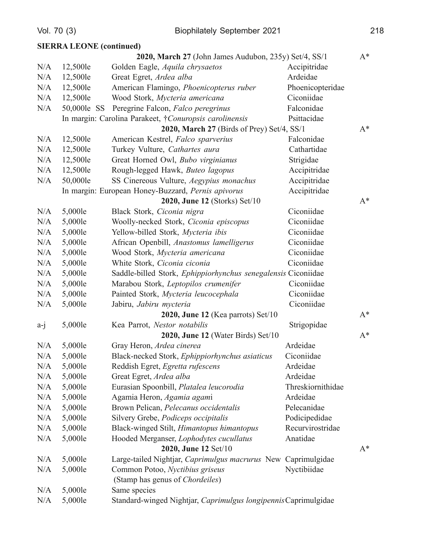|       | <b>SIERRA LEONE</b> (continued) |                                                                 |                   |       |
|-------|---------------------------------|-----------------------------------------------------------------|-------------------|-------|
|       |                                 | 2020, March 27 (John James Audubon, 235y) Set/4, SS/1           |                   | $A^*$ |
| N/A   | 12,500le                        | Golden Eagle, Aquila chrysaetos                                 | Accipitridae      |       |
| N/A   | 12,500le                        | Great Egret, Ardea alba                                         | Ardeidae          |       |
| N/A   | 12,500le                        | American Flamingo, Phoenicopterus ruber                         | Phoenicopteridae  |       |
| N/A   | 12,500le                        | Wood Stork, Mycteria americana                                  | Ciconiidae        |       |
| N/A   | 50,000le SS                     | Peregrine Falcon, Falco peregrinus                              | Falconidae        |       |
|       |                                 | In margin: Carolina Parakeet, †Conuropsis carolinensis          | Psittacidae       |       |
|       |                                 | 2020, March 27 (Birds of Prey) Set/4, SS/1                      |                   | $A^*$ |
| N/A   | 12,500le                        | American Kestrel, Falco sparverius                              | Falconidae        |       |
| N/A   | 12,500le                        | Turkey Vulture, Cathartes aura                                  | Cathartidae       |       |
| N/A   | 12,500le                        | Great Horned Owl, Bubo virginianus                              | Strigidae         |       |
| N/A   | 12,500le                        | Rough-legged Hawk, Buteo lagopus                                | Accipitridae      |       |
| N/A   | 50,000le                        | SS Cinereous Vulture, Aegypius monachus                         | Accipitridae      |       |
|       |                                 | In margin: European Honey-Buzzard, Pernis apivorus              | Accipitridae      |       |
|       |                                 | 2020, June 12 (Storks) Set/10                                   |                   | $A^*$ |
| N/A   | 5,000le                         | Black Stork, Ciconia nigra                                      | Ciconiidae        |       |
| N/A   | 5,000le                         | Woolly-necked Stork, Ciconia episcopus                          | Ciconiidae        |       |
| N/A   | 5,000le                         | Yellow-billed Stork, Mycteria ibis                              | Ciconiidae        |       |
| N/A   | 5,000le                         | African Openbill, Anastomus lamelligerus                        | Ciconiidae        |       |
| N/A   | 5,000le                         | Wood Stork, Mycteria americana                                  | Ciconiidae        |       |
| N/A   | 5,000le                         | White Stork, Ciconia ciconia                                    | Ciconiidae        |       |
| N/A   | 5,000le                         | Saddle-billed Stork, Ephippiorhynchus senegalensis Ciconiidae   |                   |       |
| N/A   | 5,000le                         | Marabou Stork, Leptopilos crumenifer                            | Ciconiidae        |       |
| N/A   | 5,000le                         | Painted Stork, Mycteria leucocephala                            | Ciconiidae        |       |
| N/A   | 5,000le                         | Jabiru, Jabiru mycteria                                         | Ciconiidae        |       |
|       |                                 | $2020$ , June 12 (Kea parrots) Set/10                           |                   | $A^*$ |
| $a-j$ | 5,000le                         | Kea Parrot, Nestor notabilis                                    | Strigopidae       |       |
|       |                                 | 2020, June 12 (Water Birds) Set/10                              |                   | $A^*$ |
| N/A   | 5,000le                         | Gray Heron, Ardea cinerea                                       | Ardeidae          |       |
| N/A   | 5,000le                         | Black-necked Stork, Ephippiorhynchus asiaticus                  | Ciconiidae        |       |
| N/A   | 5,000le                         | Reddish Egret, Egretta rufescens                                | Ardeidae          |       |
| N/A   | 5,000le                         | Great Egret, Ardea alba                                         | Ardeidae          |       |
| N/A   | 5,000le                         | Eurasian Spoonbill, Platalea leucorodia                         | Threskiornithidae |       |
| N/A   | 5,000le                         | Agamia Heron, Agamia agami                                      | Ardeidae          |       |
| N/A   | 5,000le                         | Brown Pelican, Pelecanus occidentalis                           | Pelecanidae       |       |
| N/A   | 5,000le                         | Silvery Grebe, Podiceps occipitalis                             | Podicipedidae     |       |
| N/A   | 5,000le                         | Black-winged Stilt, Himantopus himantopus                       | Recurvirostridae  |       |
| N/A   | 5,000le                         | Hooded Merganser, Lophodytes cucullatus                         | Anatidae          |       |
|       |                                 | 2020, June 12 Set/10                                            |                   | $A^*$ |
| N/A   | 5,000le                         | Large-tailed Nightjar, Caprimulgus macrurus New Caprimulgidae   |                   |       |
| N/A   | 5,000le                         | Common Potoo, Nyctibius griseus                                 | Nyctibiidae       |       |
|       |                                 | (Stamp has genus of Chordeiles)                                 |                   |       |
| N/A   | 5,000le                         | Same species                                                    |                   |       |
| N/A   | 5,000le                         | Standard-winged Nightjar, Caprimulgus longipennis Caprimulgidae |                   |       |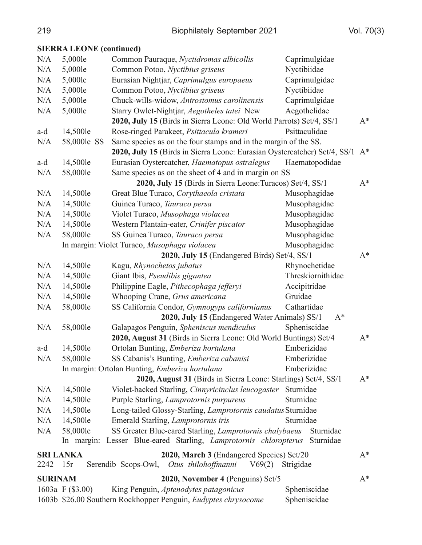## **SIERRA LEONE** (continued)

| N/A            | 5,000le            | Common Pauraque, Nyctidromas albicollis                                      | Caprimulgidae     |       |
|----------------|--------------------|------------------------------------------------------------------------------|-------------------|-------|
| N/A            | 5,000le            | Common Potoo, Nyctibius griseus                                              | Nyctibiidae       |       |
| N/A            | 5,000le            | Eurasian Nightjar, Caprimulgus europaeus                                     | Caprimulgidae     |       |
| N/A            | 5,000le            | Common Potoo, Nyctibius griseus                                              | Nyctibiidae       |       |
| N/A            | 5,000le            | Chuck-wills-widow, Antrostomus carolinensis                                  | Caprimulgidae     |       |
| N/A            | 5,000le            | Starry Owlet-Nightjar, Aegotheles tatei New                                  | Aegothelidae      |       |
|                |                    | 2020, July 15 (Birds in Sierra Leone: Old World Parrots) Set/4, SS/1         |                   | $A^*$ |
| a-d            | 14,500le           | Rose-ringed Parakeet, Psittacula krameri                                     | Psittaculidae     |       |
| N/A            | 58,000le SS        | Same species as on the four stamps and in the margin of the SS.              |                   |       |
|                |                    | 2020, July 15 (Birds in Sierra Leone: Eurasian Oystercatcher) Set/4, SS/1 A* |                   |       |
| a-d            | 14,500le           | Eurasian Oystercatcher, Haematopus ostralegus                                | Haematopodidae    |       |
| N/A            | 58,000le           | Same species as on the sheet of 4 and in margin on SS                        |                   |       |
|                |                    | 2020, July 15 (Birds in Sierra Leone: Turacos) Set/4, SS/1                   |                   | $A^*$ |
| N/A            | 14,500le           | Great Blue Turaco, Corythaeola cristata                                      | Musophagidae      |       |
| N/A            | 14,500le           | Guinea Turaco, Tauraco persa                                                 | Musophagidae      |       |
| N/A            | 14,500le           | Violet Turaco, Musophaga violacea                                            | Musophagidae      |       |
| N/A            | 14,500le           | Western Plantain-eater, Crinifer piscator                                    | Musophagidae      |       |
| N/A            | 58,000le           | SS Guinea Turaco, Tauraco persa                                              | Musophagidae      |       |
|                |                    | In margin: Violet Turaco, Musophaga violacea                                 | Musophagidae      |       |
|                |                    | 2020, July 15 (Endangered Birds) Set/4, SS/1                                 |                   | $A^*$ |
| N/A            | 14,500le           | Kagu, Rhynochetos jubatus                                                    | Rhynochetidae     |       |
| N/A            | 14,500le           | Giant Ibis, Pseudibis gigantea                                               | Threskiornithidae |       |
| N/A            | 14,500le           | Philippine Eagle, Pithecophaga jefferyi                                      | Accipitridae      |       |
| N/A            | 14,500le           | Whooping Crane, Grus americana                                               | Gruidae           |       |
| N/A            | 58,000le           | SS California Condor, Gymnogyps californianus                                | Cathartidae       |       |
|                |                    | 2020, July 15 (Endangered Water Animals) SS/1                                | $A^*$             |       |
| N/A            | 58,000le           | Galapagos Penguin, Spheniscus mendiculus                                     | Spheniscidae      |       |
|                |                    | 2020, August 31 (Birds in Sierra Leone: Old World Buntings) Set/4            |                   | $A^*$ |
| a-d            | 14,500le           | Ortolan Bunting, Emberiza hortulana                                          | Emberizidae       |       |
| N/A            | 58,000le           | SS Cabanis's Bunting, Emberiza cabanisi                                      | Emberizidae       |       |
|                |                    | In margin: Ortolan Bunting, Emberiza hortulana                               | Emberizidae       |       |
|                |                    | 2020, August 31 (Birds in Sierra Leone: Starlings) Set/4, SS/1               |                   | $A^*$ |
| N/A            | 14,500le           | Violet-backed Starling, Cinnyricinclus leucogaster                           | Sturnidae         |       |
| N/A            | 14,500le           | Purple Starling, Lamprotornis purpureus                                      | Sturnidae         |       |
| N/A            | 14,500le           | Long-tailed Glossy-Starling, Lamprotornis caudatus Sturnidae                 |                   |       |
| N/A            | 14,500le           | Emerald Starling, Lamprotornis iris                                          | Sturnidae         |       |
| N/A            | 58,000le           | SS Greater Blue-eared Starling, Lamprotornis chalybaeus                      | Sturnidae         |       |
|                |                    | In margin: Lesser Blue-eared Starling, Lamprotornis chloropterus             | Sturnidae         |       |
|                | <b>SRI LANKA</b>   | 2020, March 3 (Endangered Species) Set/20                                    |                   | $A^*$ |
| 2242           | 15r                | Serendib Scops-Owl, Otus thilohoffmanni<br>V69(2)                            | Strigidae         |       |
| <b>SURINAM</b> |                    | 2020, November 4 (Penguins) Set/5                                            |                   | $A^*$ |
|                | 1603a F $(\$3.00)$ | King Penguin, Aptenodytes patagonicus                                        | Spheniscidae      |       |
|                |                    | 1603b \$26.00 Southern Rockhopper Penguin, Eudyptes chrysocome               | Spheniscidae      |       |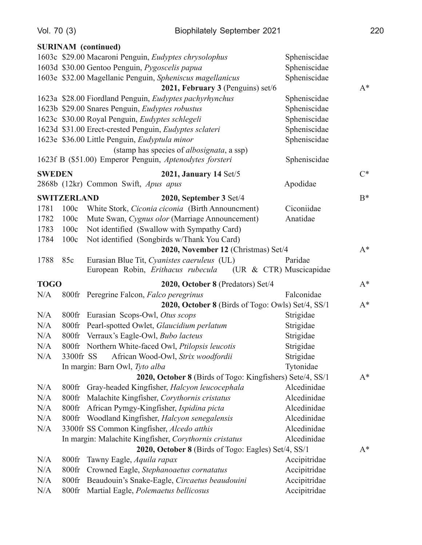|               |                    | <b>SURINAM</b> (continued)                                        |              |       |
|---------------|--------------------|-------------------------------------------------------------------|--------------|-------|
|               |                    | 1603c \$29.00 Macaroni Penguin, Eudyptes chrysolophus             | Spheniscidae |       |
|               |                    | 1603d \$30.00 Gentoo Penguin, Pygoscelis papua                    | Spheniscidae |       |
|               |                    | 1603e \$32.00 Magellanic Penguin, Spheniscus magellanicus         | Spheniscidae |       |
|               |                    | 2021, February 3 (Penguins) set/6                                 |              | $A^*$ |
|               |                    | 1623a \$28.00 Fiordland Penguin, Eudyptes pachyrhynchus           | Spheniscidae |       |
|               |                    | 1623b \$29.00 Snares Penguin, Eudyptes robustus                   | Spheniscidae |       |
|               |                    | 1623c \$30.00 Royal Penguin, Eudyptes schlegeli                   | Spheniscidae |       |
|               |                    | 1623d \$31.00 Erect-crested Penguin, Eudyptes sclateri            | Spheniscidae |       |
|               |                    | 1623e \$36.00 Little Penguin, Eudyptula minor                     | Spheniscidae |       |
|               |                    | (stamp has species of albosignata, a ssp)                         |              |       |
|               |                    | 1623f B (\$51.00) Emperor Penguin, Aptenodytes forsteri           | Spheniscidae |       |
| <b>SWEDEN</b> |                    | 2021, January 14 $Set/5$                                          |              | $C^*$ |
|               |                    | 2868b (12kr) Common Swift, Apus apus                              | Apodidae     |       |
|               | <b>SWITZERLAND</b> | 2020, September 3 Set/4                                           |              | $B^*$ |
| 1781          | 100c               | White Stork, Ciconia ciconia (Birth Announcment)                  | Ciconiidae   |       |
| 1782          | 100c               | Mute Swan, Cygnus olor (Marriage Announcement)                    | Anatidae     |       |
| 1783          | 100c               | Not identified (Swallow with Sympathy Card)                       |              |       |
| 1784          | 100c               | Not identified (Songbirds w/Thank You Card)                       |              |       |
|               |                    | 2020, November 12 (Christmas) Set/4                               |              | $A^*$ |
| 1788          | 85c                | Eurasian Blue Tit, Cyanistes caeruleus (UL)                       | Paridae      |       |
|               |                    | European Robin, <i>Erithacus rubecula</i> (UR & CTR) Muscicapidae |              |       |
| <b>TOGO</b>   |                    | 2020, October 8 (Predators) Set/4                                 |              | $A^*$ |
| N/A           | $800$ fr           | Peregrine Falcon, Falco peregrinus                                | Falconidae   |       |
|               |                    | 2020, October 8 (Birds of Togo: Owls) Set/4, SS/1                 |              | $A^*$ |
| N/A           | $800$ fr           | Eurasian Scops-Owl, Otus scops                                    | Strigidae    |       |
| N/A           | $800$ fr           | Pearl-spotted Owlet, Glaucidium perlatum                          | Strigidae    |       |
| N/A           | $800$ fr           | Verraux's Eagle-Owl, <i>Bubo lacteus</i>                          | Strigidae    |       |
| N/A           |                    | 800fr Northern White-faced Owl, Ptilopsis leucotis                | Strigidae    |       |
| N/A           | 3300fr SS          | African Wood-Owl, Strix woodfordii                                | Strigidae    |       |
|               |                    | In margin: Barn Owl, Tyto alba                                    | Tytonidae    |       |
|               |                    | 2020, October 8 (Birds of Togo: Kingfishers) Sete/4, SS/1         |              | $A^*$ |
| N/A           | $800$ fr           | Gray-headed Kingfisher, Halcyon leucocephala                      | Alcedinidae  |       |
| N/A           | 800fr              | Malachite Kingfisher, Corythornis cristatus                       | Alcedinidae  |       |
| N/A           | $800$ fr           | African Pymgy-Kingfisher, Ispidina picta                          | Alcedinidae  |       |
| N/A           | $800$ fr           | Woodland Kingfisher, Halcyon senegalensis                         | Alcedinidae  |       |
| N/A           |                    | 3300fr SS Common Kingfisher, Alcedo atthis                        | Alcedinidae  |       |
|               |                    | In margin: Malachite Kingfisher, Corythornis cristatus            | Alcedinidae  |       |
|               |                    | 2020, October 8 (Birds of Togo: Eagles) Set/4, SS/1               |              | $A^*$ |
| N/A           | $800$ fr           | Tawny Eagle, Aquila rapax                                         | Accipitridae |       |
| N/A           | $800$ fr           | Crowned Eagle, Stephanoaetus cornatatus                           | Accipitridae |       |
| N/A           | 800fr              | Beaudouin's Snake-Eagle, Circaetus beaudouini                     | Accipitridae |       |
| N/A           | $800$ fr           | Martial Eagle, Polemaetus bellicosus                              | Accipitridae |       |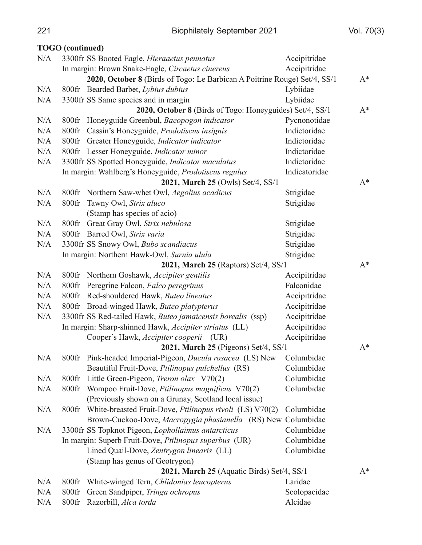|     | <b>TOGO</b> (continued) |                                                                           |               |       |
|-----|-------------------------|---------------------------------------------------------------------------|---------------|-------|
| N/A |                         | 3300fr SS Booted Eagle, Hieraaetus pennatus                               | Accipitridae  |       |
|     |                         | In margin: Brown Snake-Eagle, Circaetus cinereus                          | Accipitridae  |       |
|     |                         | 2020, October 8 (Birds of Togo: Le Barbican A Poitrine Rouge) Set/4, SS/1 |               | $A^*$ |
| N/A | $800$ fr                | Bearded Barbet, Lybius dubius                                             | Lybiidae      |       |
| N/A |                         | 3300fr SS Same species and in margin                                      | Lybiidae      |       |
|     |                         | 2020, October 8 (Birds of Togo: Honeyguides) Set/4, SS/1                  |               | $A^*$ |
| N/A |                         | 800fr Honeyguide Greenbul, Baeopogon indicator                            | Pycnonotidae  |       |
| N/A |                         | 800fr Cassin's Honeyguide, Prodotiscus insignis                           | Indictoridae  |       |
| N/A |                         | 800fr Greater Honeyguide, Indicator indicator                             | Indictoridae  |       |
| N/A |                         | 800fr Lesser Honeyguide, Indicator minor                                  | Indictoridae  |       |
| N/A |                         | 3300fr SS Spotted Honeyguide, Indicator maculatus                         | Indictoridae  |       |
|     |                         | In margin: Wahlberg's Honeyguide, Prodotiscus regulus                     | Indicatoridae |       |
|     |                         | 2021, March 25 (Owls) Set/4, SS/1                                         |               | $A^*$ |
| N/A | $800$ fr                | Northern Saw-whet Owl, Aegolius acadicus                                  | Strigidae     |       |
| N/A | $800$ fr                | Tawny Owl, Strix aluco                                                    | Strigidae     |       |
|     |                         | (Stamp has species of acio)                                               |               |       |
| N/A |                         | 800fr Great Gray Owl, Strix nebulosa                                      | Strigidae     |       |
| N/A |                         | 800fr Barred Owl, Strix varia                                             | Strigidae     |       |
| N/A |                         | 3300fr SS Snowy Owl, Bubo scandiacus                                      | Strigidae     |       |
|     |                         | In margin: Northern Hawk-Owl, Surnia ulula                                | Strigidae     |       |
|     |                         | 2021, March 25 (Raptors) Set/4, SS/1                                      |               | $A^*$ |
| N/A |                         | 800fr Northern Goshawk, Accipiter gentilis                                | Accipitridae  |       |
| N/A |                         | 800fr Peregrine Falcon, Falco peregrinus                                  | Falconidae    |       |
| N/A |                         | 800fr Red-shouldered Hawk, Buteo lineatus                                 | Accipitridae  |       |
| N/A |                         | 800fr Broad-winged Hawk, Buteo platypterus                                | Accipitridae  |       |
| N/A |                         | 3300fr SS Red-tailed Hawk, Buteo jamaicensis borealis (ssp)               | Accipitridae  |       |
|     |                         | In margin: Sharp-shinned Hawk, <i>Accipiter striatus</i> (LL)             | Accipitridae  |       |
|     |                         | Cooper's Hawk, Accipiter cooperii (UR)                                    | Accipitridae  |       |
|     |                         | 2021, March 25 (Pigeons) Set/4, SS/1                                      |               | $A^*$ |
| N/A |                         | 800fr Pink-headed Imperial-Pigeon, <i>Ducula rosacea</i> (LS) New         | Columbidae    |       |
|     |                         | Beautiful Fruit-Dove, Ptilinopus pulchellus (RS)                          | Columbidae    |       |
| N/A | $800$ fr                | Little Green-Pigeon, Treron olax V70(2)                                   | Columbidae    |       |
| N/A | $800$ fr                | Wompoo Fruit-Dove, Ptilinopus magnificus V70(2)                           | Columbidae    |       |
|     |                         | (Previously shown on a Grunay, Scotland local issue)                      |               |       |
| N/A | $800$ fr                | White-breasted Fruit-Dove, Ptilinopus rivoli (LS) V70(2)                  | Columbidae    |       |
|     |                         | Brown-Cuckoo-Dove, Macropygia phasianella (RS) New Columbidae             |               |       |
| N/A |                         | 3300fr SS Topknot Pigeon, Lophollaimus antarcticus                        | Columbidae    |       |
|     |                         | In margin: Superb Fruit-Dove, Ptilinopus superbus (UR)                    | Columbidae    |       |
|     |                         | Lined Quail-Dove, Zentrygon linearis (LL)                                 | Columbidae    |       |
|     |                         | (Stamp has genus of Geotrygon)                                            |               |       |
|     |                         | 2021, March 25 (Aquatic Birds) Set/4, SS/1                                |               | $A^*$ |
| N/A | $800$ fr                | White-winged Tern, Chlidonias leucopterus                                 | Laridae       |       |
| N/A | 800fr                   | Green Sandpiper, Tringa ochropus                                          | Scolopacidae  |       |
| N/A | 800fr                   | Razorbill, Alca torda                                                     | Alcidae       |       |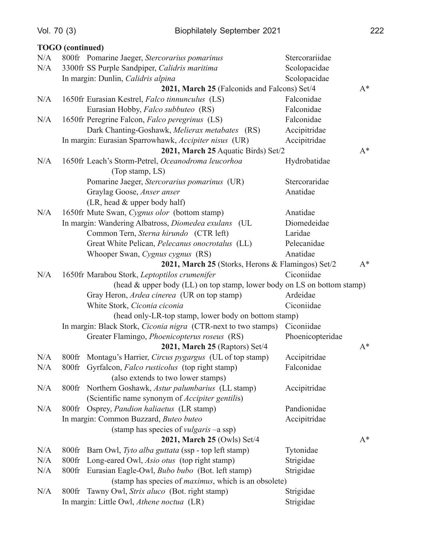**TOGO** (continued)

| N/A |                                                                       | 800fr Pomarine Jaeger, Stercorarius pomarinus                                       | Stercorariidae   |       |
|-----|-----------------------------------------------------------------------|-------------------------------------------------------------------------------------|------------------|-------|
| N/A |                                                                       | 3300fr SS Purple Sandpiper, Calidris maritima                                       | Scolopacidae     |       |
|     | In margin: Dunlin, Calidris alpina<br>Scolopacidae                    |                                                                                     |                  |       |
|     |                                                                       | 2021, March 25 (Falconids and Falcons) Set/4                                        |                  | $A^*$ |
| N/A |                                                                       | 1650fr Eurasian Kestrel, Falco tinnunculus (LS)                                     | Falconidae       |       |
|     |                                                                       | Eurasian Hobby, Falco subbuteo (RS)                                                 | Falconidae       |       |
| N/A |                                                                       | 1650fr Peregrine Falcon, Falco peregrinus (LS)                                      | Falconidae       |       |
|     |                                                                       | Dark Chanting-Goshawk, Melierax metabates (RS)                                      | Accipitridae     |       |
|     | In margin: Eurasian Sparrowhawk, Accipiter nisus (UR)<br>Accipitridae |                                                                                     |                  |       |
|     |                                                                       | 2021, March 25 Aquatic Birds) Set/2                                                 |                  | $A^*$ |
| N/A |                                                                       | 1650fr Leach's Storm-Petrel, Oceanodroma leucorhoa                                  | Hydrobatidae     |       |
|     |                                                                       | (Top stamp, LS)                                                                     |                  |       |
|     |                                                                       | Pomarine Jaeger, Stercorarius pomarinus (UR)                                        | Stercoraridae    |       |
|     |                                                                       | Graylag Goose, Anser anser                                                          | Anatidae         |       |
|     |                                                                       | (LR, head & upper body half)                                                        |                  |       |
| N/A |                                                                       | 1650fr Mute Swan, Cygnus olor (bottom stamp)                                        | Anatidae         |       |
|     |                                                                       | In margin: Wandering Albatross, Diomedea exulans (UL                                | Diomedeidae      |       |
|     |                                                                       | Common Tern, Sterna hirundo (CTR left)                                              | Laridae          |       |
|     |                                                                       | Great White Pelican, Pelecanus onocrotalus (LL)                                     | Pelecanidae      |       |
|     |                                                                       | Whooper Swan, Cygnus cygnus (RS)                                                    | Anatidae         |       |
|     |                                                                       | 2021, March 25 (Storks, Herons & Flamingos) Set/2                                   |                  | $A^*$ |
| N/A |                                                                       | 1650fr Marabou Stork, Leptoptilos crumenifer                                        | Ciconiidae       |       |
|     |                                                                       | (head $\&$ upper body (LL) on top stamp, lower body on LS on bottom stamp)          |                  |       |
|     |                                                                       | Gray Heron, Ardea cinerea (UR on top stamp)                                         | Ardeidae         |       |
|     |                                                                       | White Stork, Ciconia ciconia                                                        | Ciconiidae       |       |
|     |                                                                       | (head only-LR-top stamp, lower body on bottom stamp)                                |                  |       |
|     |                                                                       | In margin: Black Stork, <i>Ciconia nigra</i> (CTR-next to two stamps)<br>Ciconiidae |                  |       |
|     |                                                                       | Greater Flamingo, Phoenicopterus roseus (RS)                                        | Phoenicopteridae |       |
|     |                                                                       | 2021, March 25 (Raptors) Set/4                                                      |                  | $A^*$ |
| N/A |                                                                       | 800fr Montagu's Harrier, Circus pygargus (UL of top stamp)                          | Accipitridae     |       |
| N/A |                                                                       | 800fr Gyrfalcon, Falco rusticolus (top right stamp)                                 | Falconidae       |       |
|     |                                                                       | (also extends to two lower stamps)                                                  |                  |       |
| N/A | $800$ fr                                                              | Northern Goshawk, Astur palumbarius (LL stamp)                                      | Accipitridae     |       |
|     |                                                                       | (Scientific name synonym of <i>Accipiter gentilis</i> )                             |                  |       |
| N/A | $800$ fr                                                              | Osprey, Pandion haliaetus (LR stamp)                                                | Pandionidae      |       |
|     |                                                                       | In margin: Common Buzzard, Buteo buteo                                              | Accipitridae     |       |
|     |                                                                       | (stamp has species of <i>vulgaris</i> -a ssp)                                       |                  |       |
|     |                                                                       | 2021, March 25 (Owls) Set/4                                                         |                  | $A^*$ |
| N/A | $800$ fr                                                              | Barn Owl, Tyto alba guttata (ssp - top left stamp)                                  | Tytonidae        |       |
| N/A | 800fr                                                                 | Long-eared Owl, Asio otus (top right stamp)                                         | Strigidae        |       |
| N/A | $800$ fr                                                              | Eurasian Eagle-Owl, <i>Bubo bubo</i> (Bot. left stamp)                              | Strigidae        |       |
|     |                                                                       | (stamp has species of <i>maximus</i> , which is an obsolete)                        |                  |       |
| N/A | $800$ fr                                                              | Tawny Owl, Strix aluco (Bot. right stamp)                                           | Strigidae        |       |
|     | In margin: Little Owl, Athene noctua (LR)<br>Strigidae                |                                                                                     |                  |       |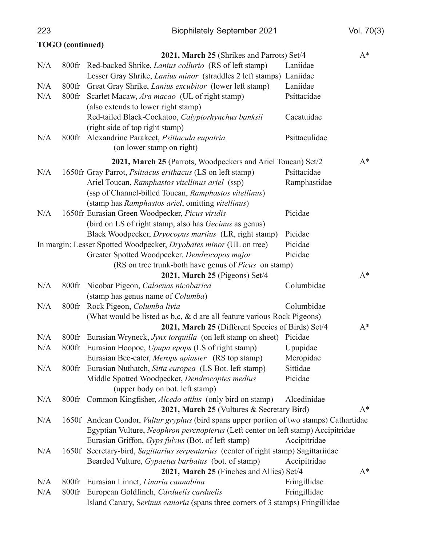**Biophilately September 2021** 

Vol. 70(3)

|     | <b>TOGO</b> (continued) |                                                                                                 |               |       |
|-----|-------------------------|-------------------------------------------------------------------------------------------------|---------------|-------|
|     |                         | 2021, March 25 (Shrikes and Parrots) Set/4                                                      |               | $A^*$ |
| N/A |                         | 800fr Red-backed Shrike, <i>Lanius collurio</i> (RS of left stamp)                              | Laniidae      |       |
|     |                         | Lesser Gray Shrike, Lanius minor (straddles 2 left stamps) Laniidae                             |               |       |
| N/A | $800$ fr                | Great Gray Shrike, <i>Lanius excubitor</i> (lower left stamp)                                   | Laniidae      |       |
| N/A | $800$ fr                | Scarlet Macaw, Ara macao (UL of right stamp)                                                    | Psittacidae   |       |
|     |                         | (also extends to lower right stamp)                                                             |               |       |
|     |                         | Red-tailed Black-Cockatoo, Calyptorhynchus banksii                                              | Cacatuidae    |       |
|     |                         | (right side of top right stamp)                                                                 |               |       |
| N/A |                         | 800fr Alexandrine Parakeet, Psittacula eupatria                                                 | Psittaculidae |       |
|     |                         | (on lower stamp on right)                                                                       |               |       |
|     |                         | 2021, March 25 (Parrots, Woodpeckers and Ariel Toucan) Set/2                                    |               | $A^*$ |
| N/A |                         | 1650fr Gray Parrot, <i>Psittacus erithacus</i> (LS on left stamp)                               | Psittacidae   |       |
|     |                         | Ariel Toucan, Ramphastos vitellinus ariel (ssp)                                                 | Ramphastidae  |       |
|     |                         | (ssp of Channel-billed Toucan, Ramphastos vitellinus)                                           |               |       |
|     |                         | (stamp has Ramphastos ariel, omitting vitellinus)                                               |               |       |
| N/A |                         | 1650fr Eurasian Green Woodpecker, Picus viridis                                                 | Picidae       |       |
|     |                         | (bird on LS of right stamp, also has Gecinus as genus)                                          |               |       |
|     |                         | Black Woodpecker, Dryocopus martius (LR, right stamp)                                           | Picidae       |       |
|     |                         | In margin: Lesser Spotted Woodpecker, Dryobates minor (UL on tree)                              | Picidae       |       |
|     |                         | Greater Spotted Woodpecker, Dendrocopos major                                                   | Picidae       |       |
|     |                         | (RS on tree trunk-both have genus of Picus on stamp)                                            |               |       |
|     |                         | 2021, March 25 (Pigeons) Set/4                                                                  |               | $A^*$ |
| N/A |                         | 800fr Nicobar Pigeon, Caloenas nicobarica                                                       | Columbidae    |       |
|     |                         | (stamp has genus name of <i>Columba</i> )                                                       |               |       |
| N/A | $800$ fr                | Rock Pigeon, Columba livia                                                                      | Columbidae    |       |
|     |                         | (What would be listed as $b,c, \& d$ are all feature various Rock Pigeons)                      |               |       |
|     |                         | 2021, March 25 (Different Species of Birds) Set/4                                               |               | $A^*$ |
| N/A | $800$ fr                | Eurasian Wryneck, Jynx torquilla (on left stamp on sheet) Picidae                               |               |       |
| N/A |                         | 800fr Eurasian Hoopoe, Upupa epops (LS of right stamp)                                          | Upupidae      |       |
|     |                         | Eurasian Bee-eater, Merops apiaster (RS top stamp)                                              | Meropidae     |       |
| N/A | $800$ fr                | Eurasian Nuthatch, Sitta europea (LS Bot. left stamp)                                           | Sittidae      |       |
|     |                         | Middle Spotted Woodpecker, Dendrocoptes medius                                                  | Picidae       |       |
|     |                         | (upper body on bot. left stamp)                                                                 |               |       |
| N/A | $800$ fr                | Common Kingfisher, <i>Alcedo atthis</i> (only bird on stamp)                                    | Alcedinidae   |       |
|     |                         | 2021, March 25 (Vultures & Secretary Bird)                                                      |               | $A^*$ |
| N/A |                         | 1650f Andean Condor, <i>Vultur gryphus</i> (bird spans upper portion of two stamps) Cathartidae |               |       |
|     |                         | Egyptian Vulture, Neophron percnopterus (Left center on left stamp) Accipitridae                |               |       |
|     |                         | Eurasian Griffon, Gyps fulvus (Bot. of left stamp)                                              | Accipitridae  |       |
| N/A |                         | 1650f Secretary-bird, Sagittarius serpentarius (center of right stamp) Sagittariidae            |               |       |
|     |                         | Bearded Vulture, <i>Gypaetus barbatus</i> (bot. of stamp)                                       | Accipitridae  |       |
|     |                         | 2021, March 25 (Finches and Allies) Set/4                                                       |               | $A^*$ |
| N/A | $800$ fr                | Eurasian Linnet, Linaria cannabina                                                              | Fringillidae  |       |
| N/A | $800$ fr                | European Goldfinch, Carduelis carduelis                                                         | Fringillidae  |       |
|     |                         | Island Canary, Serinus canaria (spans three corners of 3 stamps) Fringillidae                   |               |       |

223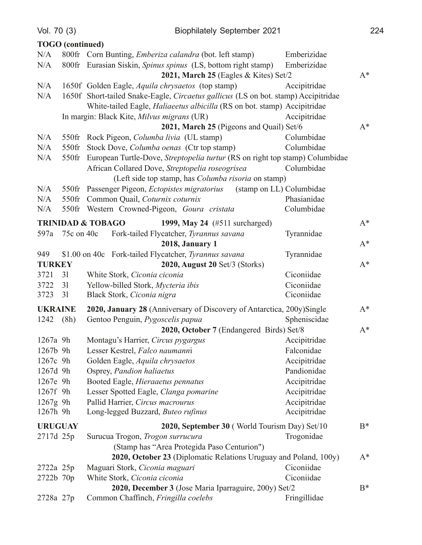|                                                          | <b>TOGO</b> (continued)                                                               |                                                                                    |              |       |  |
|----------------------------------------------------------|---------------------------------------------------------------------------------------|------------------------------------------------------------------------------------|--------------|-------|--|
| N/A                                                      |                                                                                       | 800fr Corn Bunting, <i>Emberiza calandra</i> (bot. left stamp)                     | Emberizidae  |       |  |
| N/A                                                      |                                                                                       | 800fr Eurasian Siskin, Spinus spinus (LS, bottom right stamp)                      | Emberizidae  |       |  |
|                                                          | $A^*$<br>2021, March 25 (Eagles $&Kites)$ Set/2                                       |                                                                                    |              |       |  |
| N/A                                                      |                                                                                       | 1650f Golden Eagle, Aquila chrysaetos (top stamp)                                  | Accipitridae |       |  |
| N/A                                                      |                                                                                       | 1650f Short-tailed Snake-Eagle, Circaetus gallicus (LS on bot. stamp) Accipitridae |              |       |  |
|                                                          |                                                                                       | White-tailed Eagle, Haliaeetus albicilla (RS on bot. stamp) Accipitridae           |              |       |  |
|                                                          |                                                                                       | In margin: Black Kite, Milvus migrans (UR)                                         | Accipitridae |       |  |
|                                                          |                                                                                       | 2021, March 25 (Pigeons and Quail) Set/6                                           |              | $A^*$ |  |
| N/A                                                      | $550$ fr                                                                              | Rock Pigeon, Columba livia (UL stamp)                                              | Columbidae   |       |  |
| N/A                                                      | 550fr                                                                                 | Stock Dove, <i>Columba oenas</i> (Ctr top stamp)                                   | Columbidae   |       |  |
| N/A                                                      | 550fr<br>European Turtle-Dove, Streptopelia turtur (RS on right top stamp) Columbidae |                                                                                    |              |       |  |
|                                                          |                                                                                       | African Collared Dove, Streptopelia roseogrisea                                    | Columbidae   |       |  |
|                                                          |                                                                                       | (Left side top stamp, has <i>Columba risoria</i> on stamp)                         |              |       |  |
| N/A                                                      | $550$ fr                                                                              | Passenger Pigeon, <i>Ectopistes migratorius</i><br>(stamp on LL) Columbidae        |              |       |  |
| N/A                                                      |                                                                                       | 550fr Common Quail, Coturnix coturnix                                              | Phasianidae  |       |  |
| N/A                                                      | 550fr                                                                                 | Western Crowned-Pigeon, Goura cristata                                             | Columbidae   |       |  |
|                                                          |                                                                                       | <b>TRINIDAD &amp; TOBAGO</b><br>1999, May 24 (#511 surcharged)                     |              | $A^*$ |  |
| 597a                                                     | 75c on 40c                                                                            | Fork-tailed Flycatcher, Tyrannus savana                                            | Tyrannidae   |       |  |
|                                                          |                                                                                       | <b>2018, January 1</b>                                                             |              | $A^*$ |  |
| 949                                                      |                                                                                       | \$1.00 on 40c Fork-tailed Flycatcher, Tyrannus savana                              | Tyrannidae   |       |  |
| <b>TURKEY</b><br>2020, August 20 Set/3 (Storks)<br>$A^*$ |                                                                                       |                                                                                    |              |       |  |
| 3721                                                     | 31                                                                                    | White Stork, Ciconia ciconia                                                       | Ciconiidae   |       |  |
| 3722                                                     | 31                                                                                    | Yellow-billed Stork, Mycteria ibis                                                 | Ciconiidae   |       |  |
| 3723                                                     | 31                                                                                    | Black Stork, Ciconia nigra                                                         | Ciconiidae   |       |  |
| <b>UKRAINE</b>                                           |                                                                                       | 2020, January 28 (Anniversary of Discovery of Antarctica, 200y)Single              |              | $A^*$ |  |
| 1242                                                     | (8h)                                                                                  | Gentoo Penguin, Pygoscelis papua                                                   | Spheniscidae |       |  |
|                                                          |                                                                                       | 2020, October 7 (Endangered Birds) Set/8                                           |              | $A^*$ |  |
| 1267a 9h                                                 |                                                                                       | Montagu's Harrier, Circus pygargus                                                 | Accipitridae |       |  |
| 1267b 9h                                                 |                                                                                       | Lesser Kestrel, Falco naumanni                                                     | Falconidae   |       |  |
| 1267c 9h                                                 |                                                                                       | Golden Eagle, Aquila chrysaetos                                                    | Accipitridae |       |  |
| 1267d 9h                                                 |                                                                                       | Osprey, Pandion haliaetus                                                          | Pandionidae  |       |  |
| 1267e 9h                                                 |                                                                                       | Booted Eagle, Hieraaetus pennatus                                                  | Accipitridae |       |  |
| 1267f 9h                                                 |                                                                                       | Lesser Spotted Eagle, Clanga pomarine                                              | Accipitridae |       |  |
| 1267g 9h                                                 |                                                                                       | Pallid Harrier, Circus macrourus                                                   | Accipitridae |       |  |
| 1267h 9h                                                 |                                                                                       | Long-legged Buzzard, Buteo rufinus                                                 | Accipitridae |       |  |
| <b>URUGUAY</b>                                           |                                                                                       | 2020, September 30 (World Tourism Day) Set/10                                      |              | $B^*$ |  |
| 2717d 25p                                                |                                                                                       | Surucua Trogon, Trogon surrucura                                                   | Trogonidae   |       |  |
|                                                          |                                                                                       | (Stamp has "Area Protegida Paso Centurion")                                        |              |       |  |
|                                                          |                                                                                       | 2020, October 23 (Diplomatic Relations Uruguay and Poland, 100y)                   |              | $A^*$ |  |
| 2722a 25p                                                |                                                                                       | Maguari Stork, Ciconia maguari                                                     | Ciconiidae   |       |  |
| 2722b 70p                                                |                                                                                       | White Stork, Ciconia ciconia                                                       | Ciconiidae   |       |  |
|                                                          |                                                                                       | 2020, December 3 (Jose Maria Iparraguire, 200y) Set/2                              |              | $B^*$ |  |
| 2728a 27p                                                |                                                                                       | Common Chaffinch, Fringilla coelebs                                                | Fringillidae |       |  |